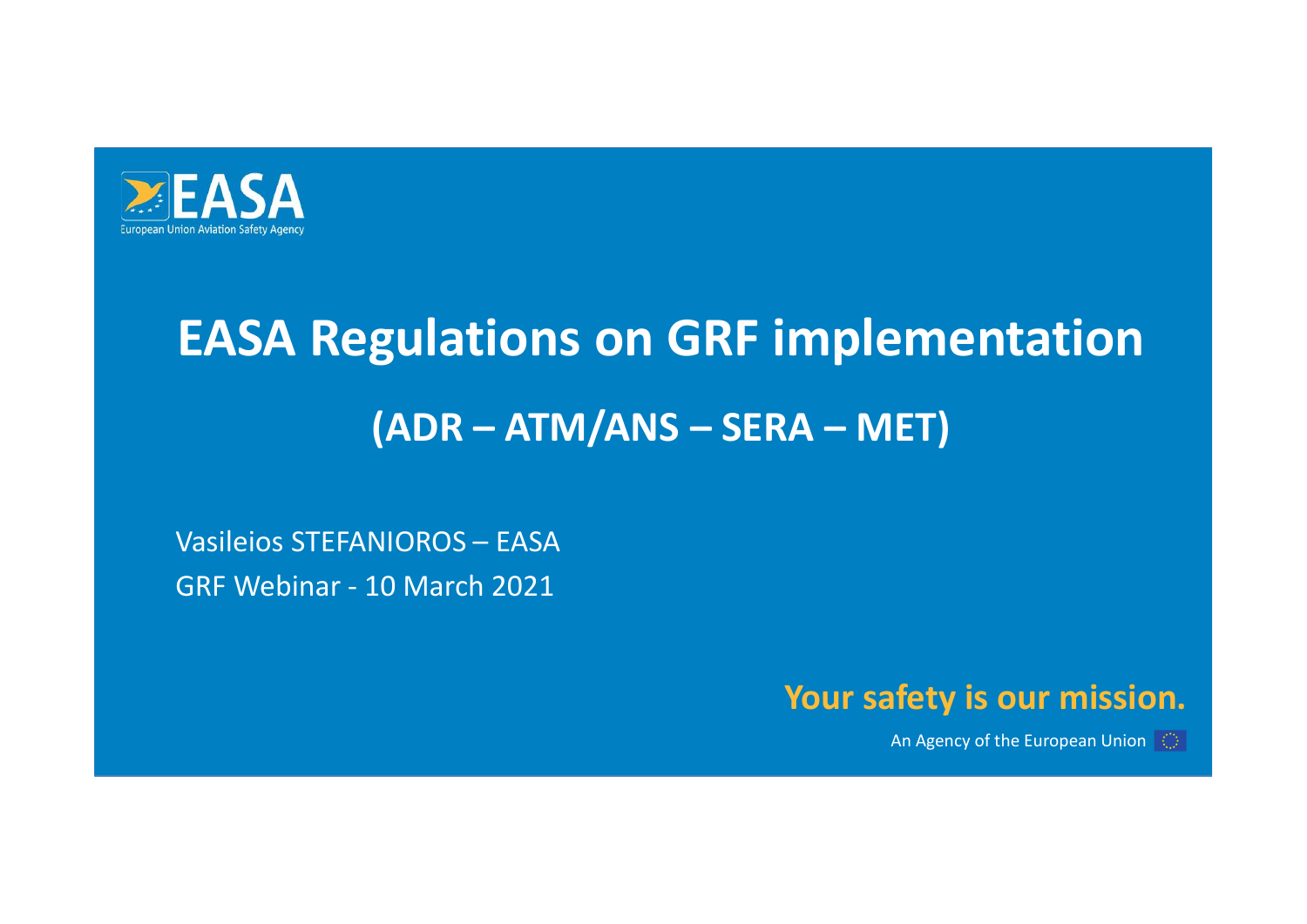

## **EASA<br>
EASA Regulations on GRF implemen<br>
(ADR – ATM/ANS – SERA – MET)<br>
Vasileios STEFANIOROS – EASA<br>GRF Webinar - 10 March 2021** EASA Regulations on GRF impl<br>(ADR – ATM/ANS – SERA – N<br>Vasileios STEFANIOROS – EASA<br>GRF Webinar - 10 March 2021 EASA Regulations on GRF implementation **gulations on GRF implementation<br>(ADR – ATM/ANS – SERA – MET)<br>NIOROS – EASA**

## Your safety is our mission.

An Agency of the European Union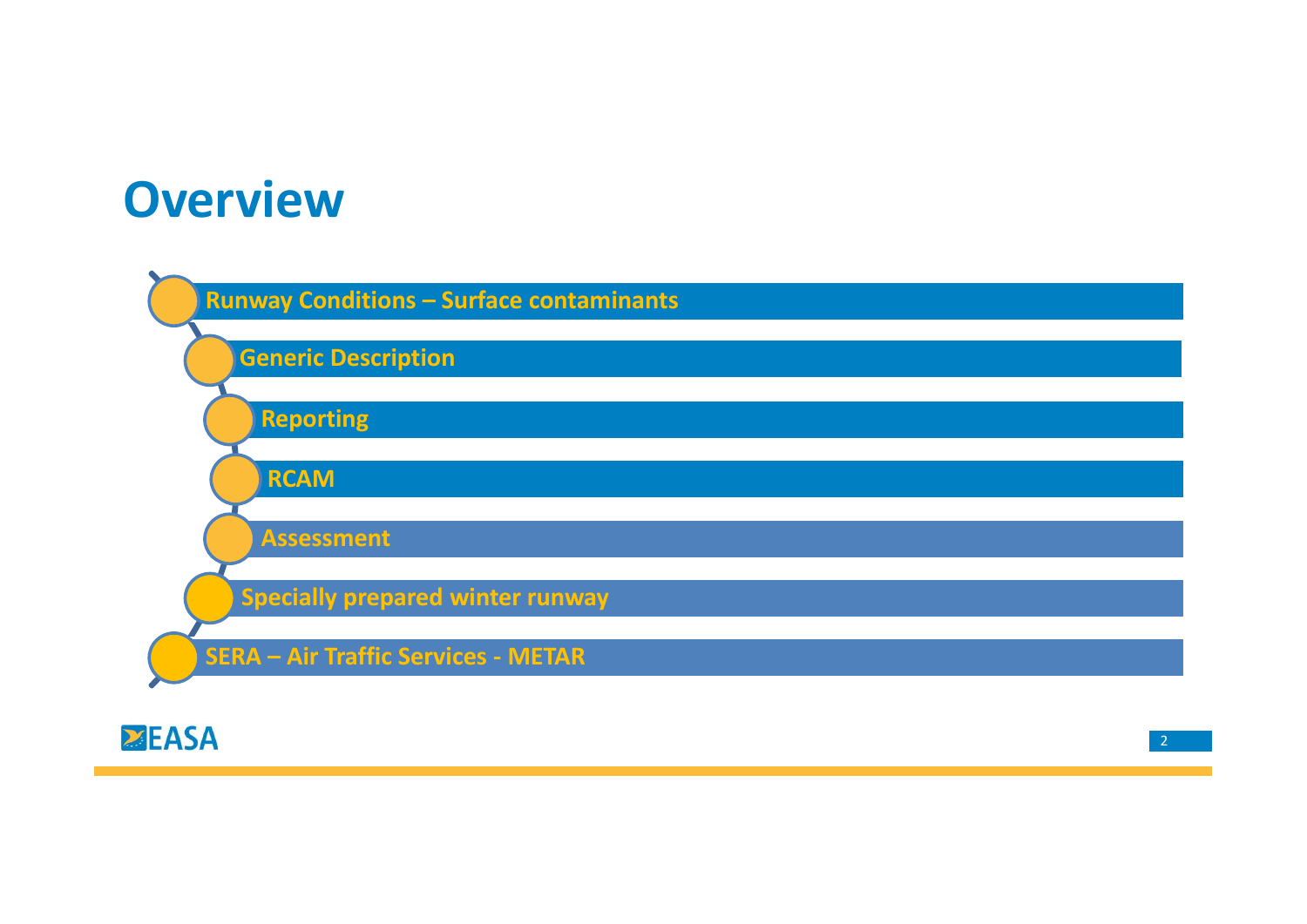## **Overview**



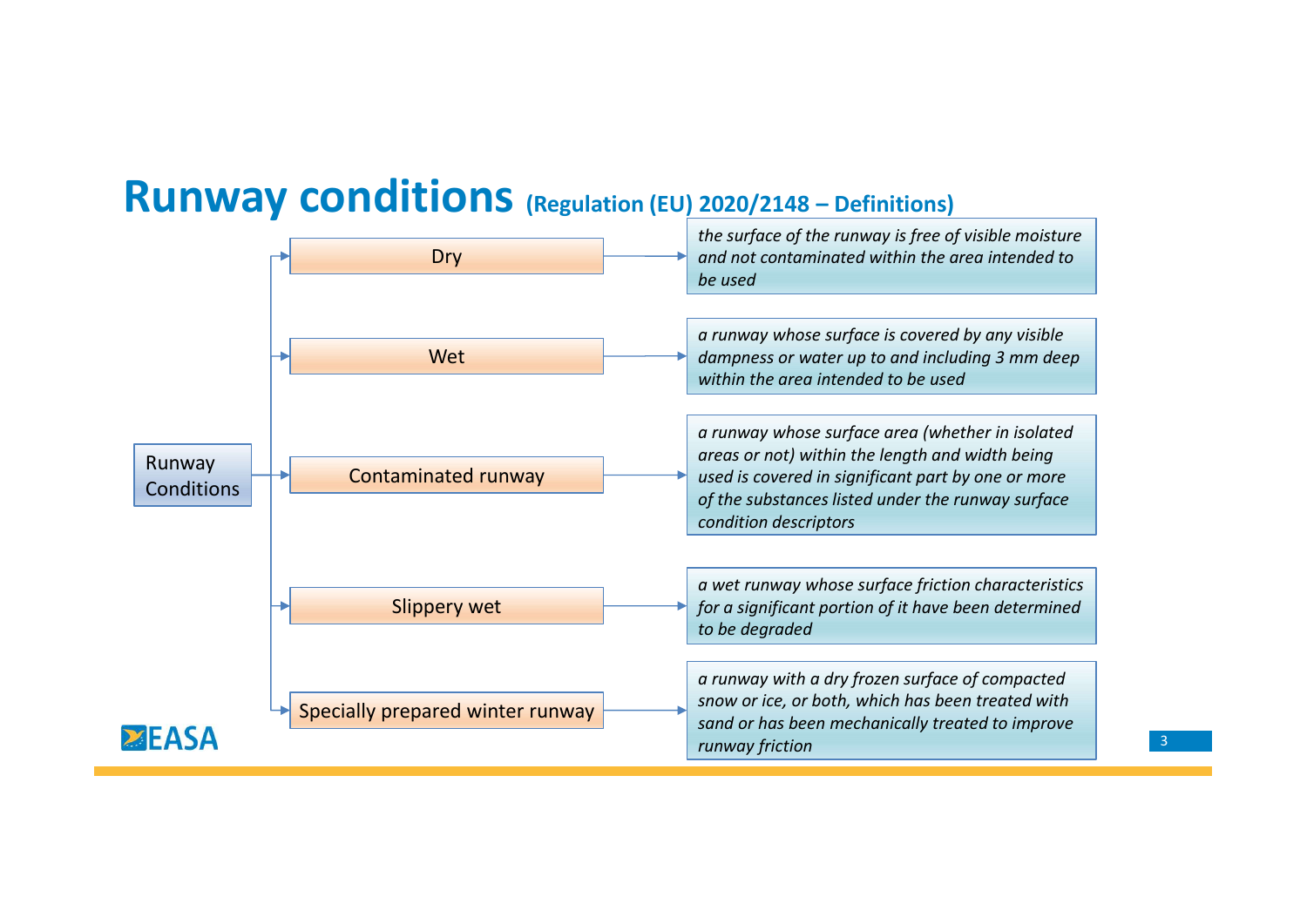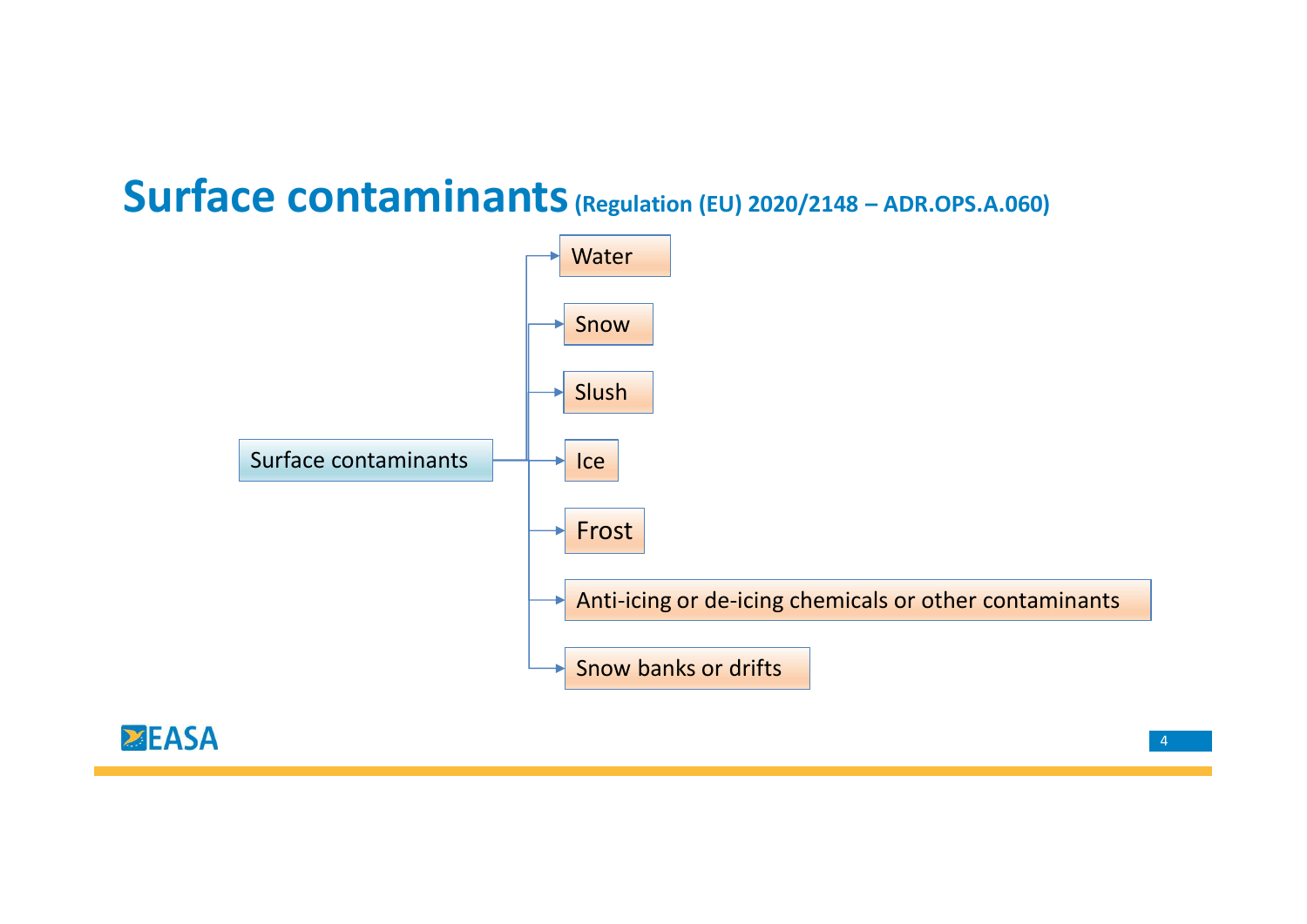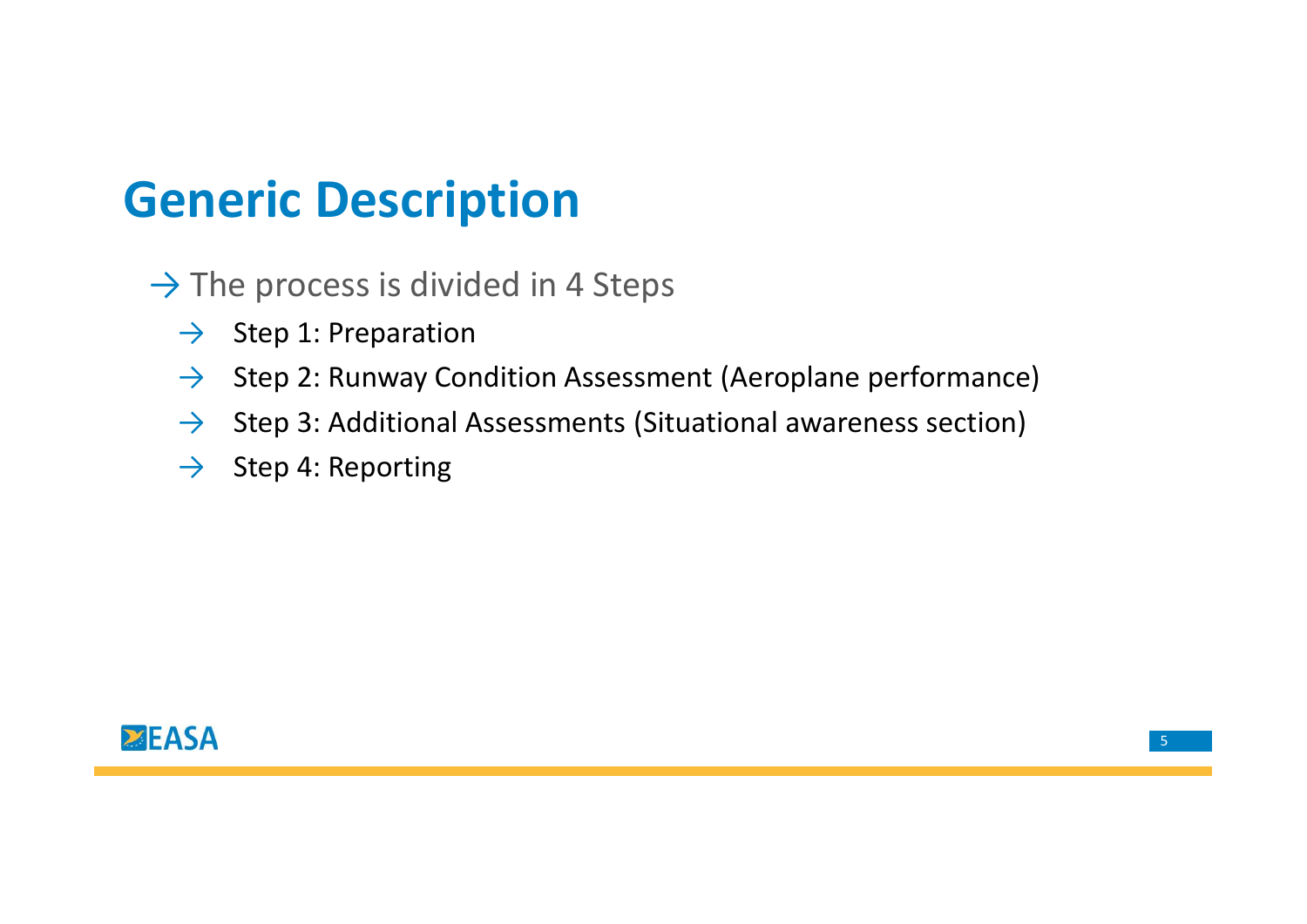## Generic Description

 $\rightarrow$  The process is divided in 4 Steps

- $\rightarrow$  Step 1: Preparation
- **New Step 2: Runway Condition Assessment (Aeroplane performance)**<br>
→ Step 2: Runway Condition Assessment (Aeroplane performance)<br>
→ Step 2: Runway Condition Assessments (Situational awareness section)<br>
→ Step 4: Report
- $\rightarrow$  Step 3: Additional Assessments (Situational awareness section)
- $\rightarrow$  Step 4: Reporting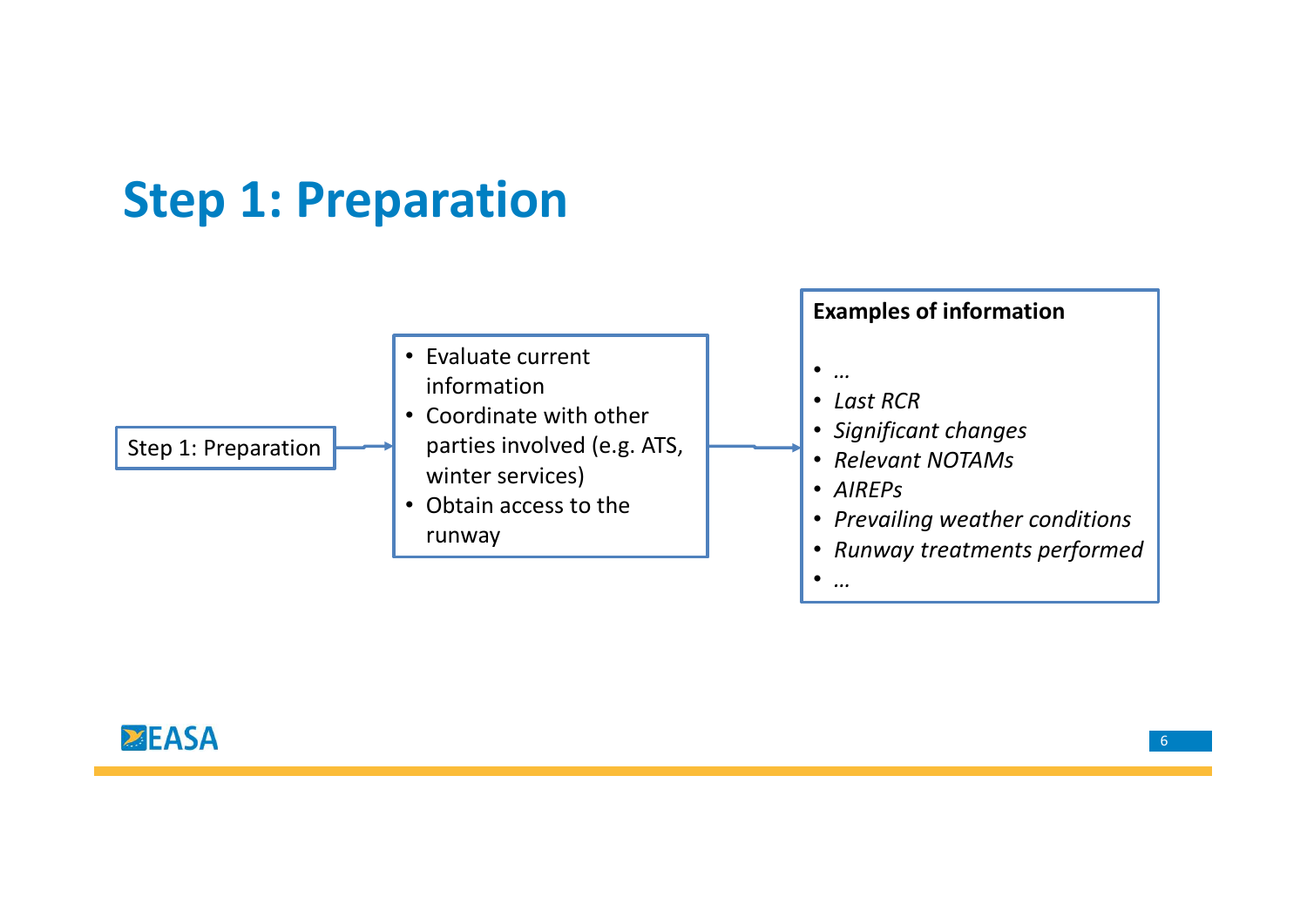## Step 1: Preparation

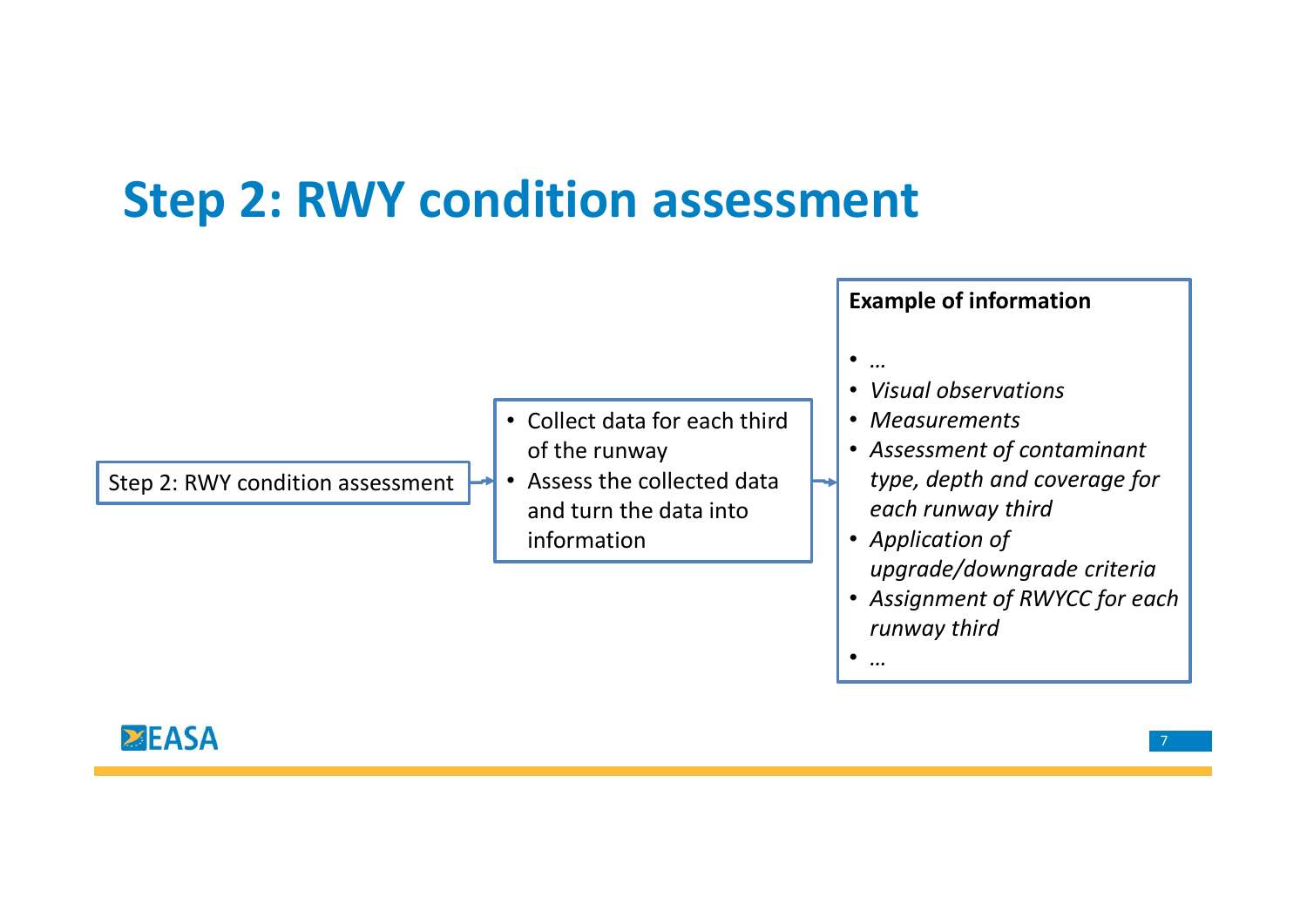## Step 2: RWY condition assessment

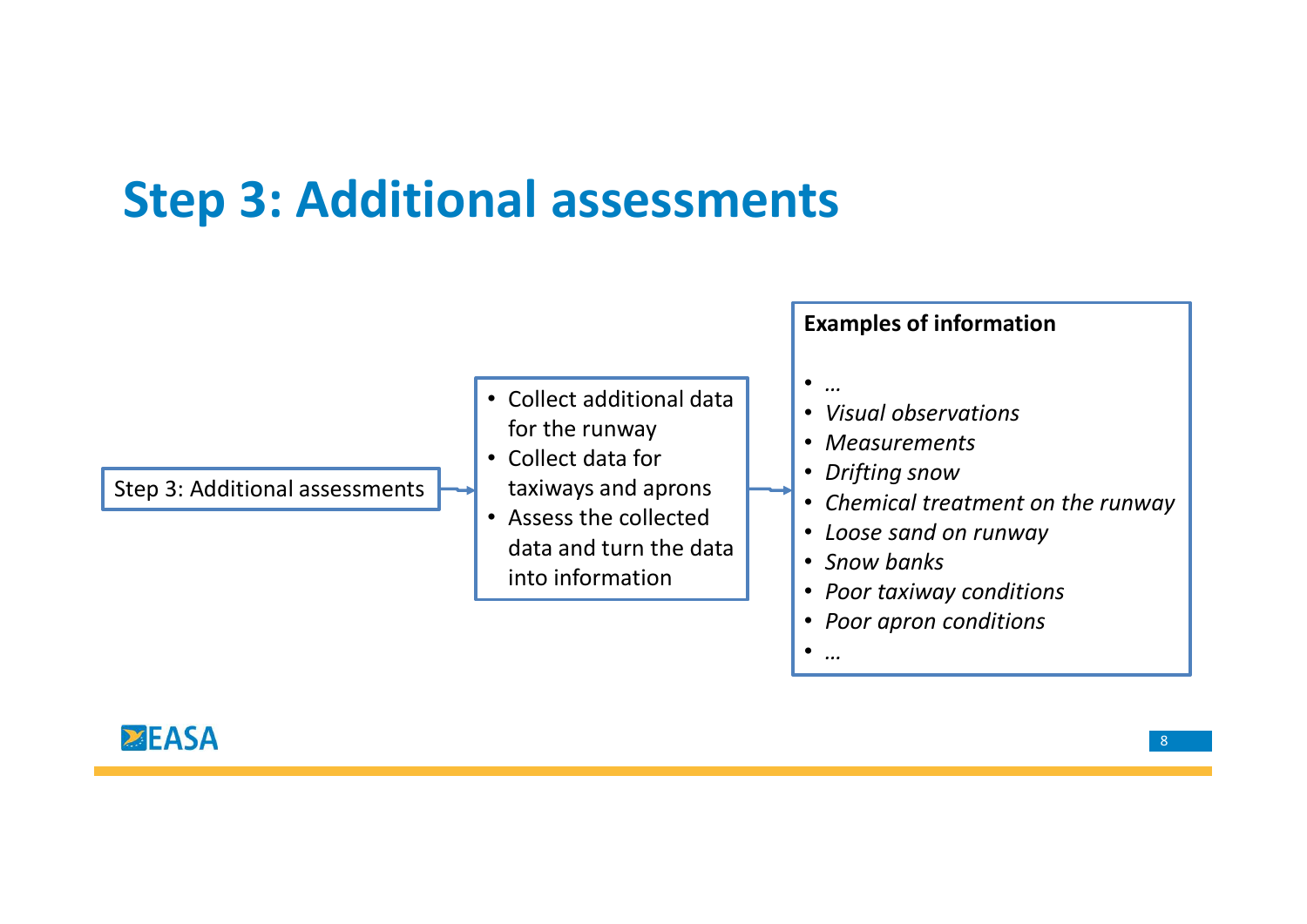## Step 3: Additional assessments

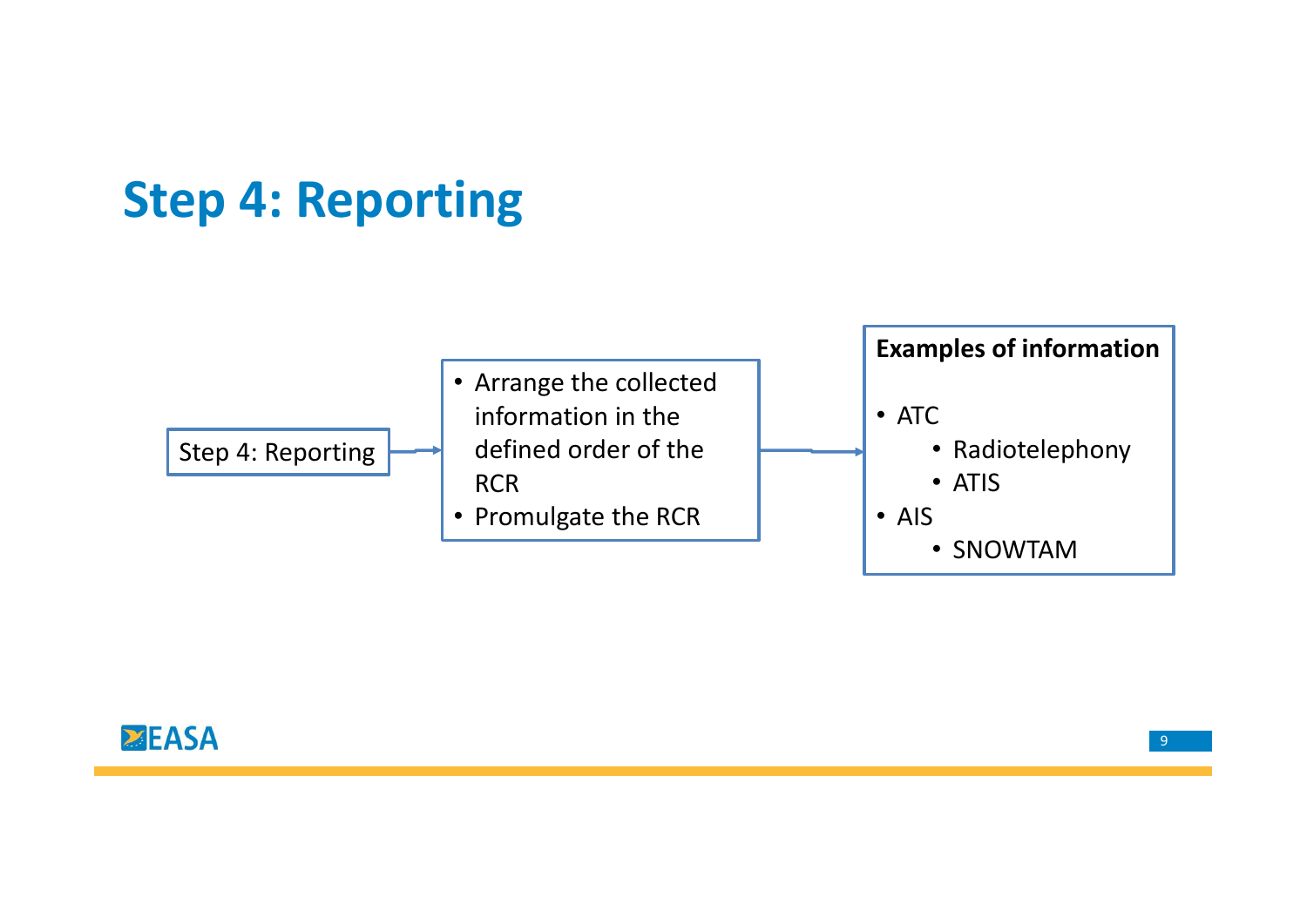## Step 4: Reporting

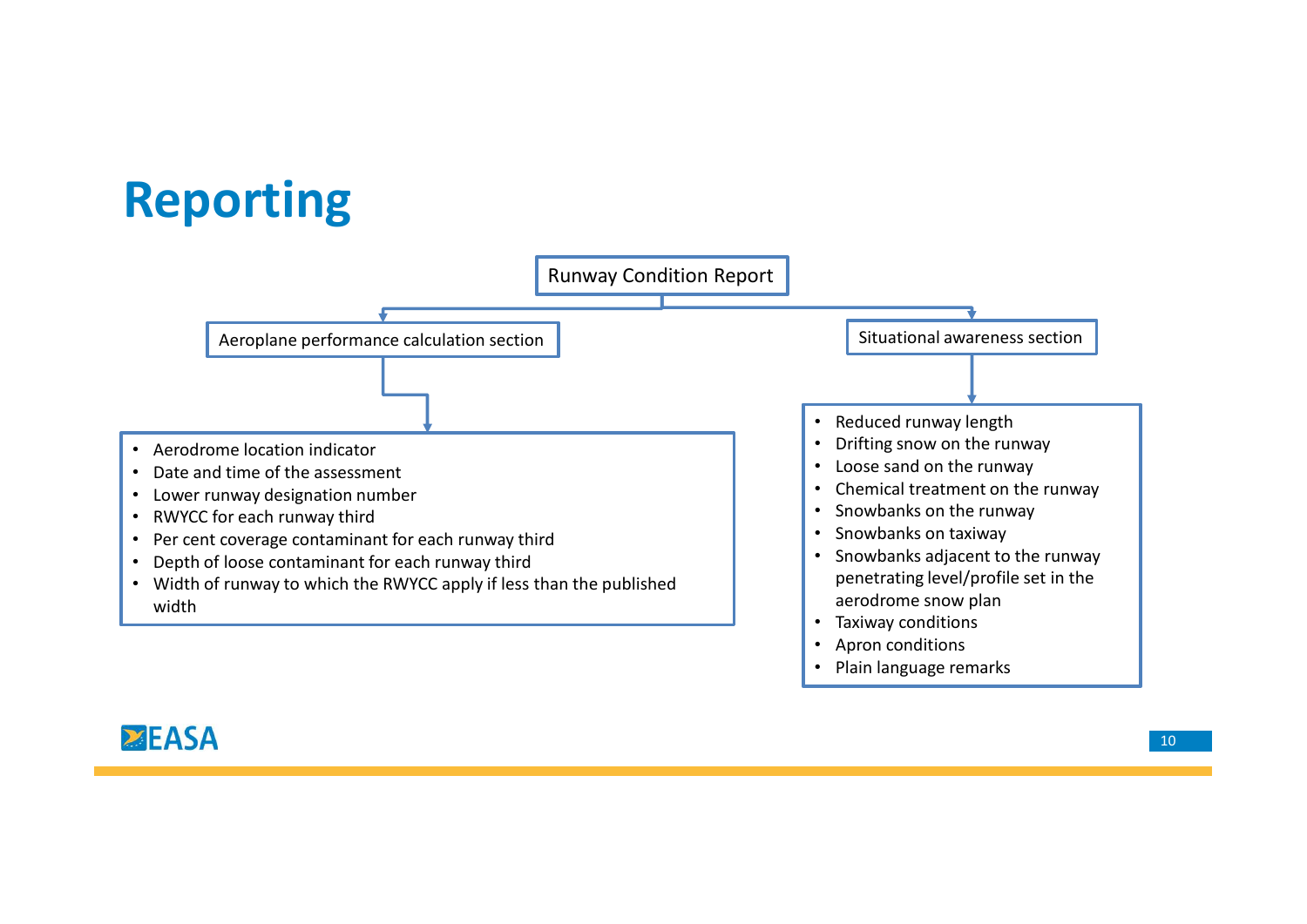## Reporting



## **EASA**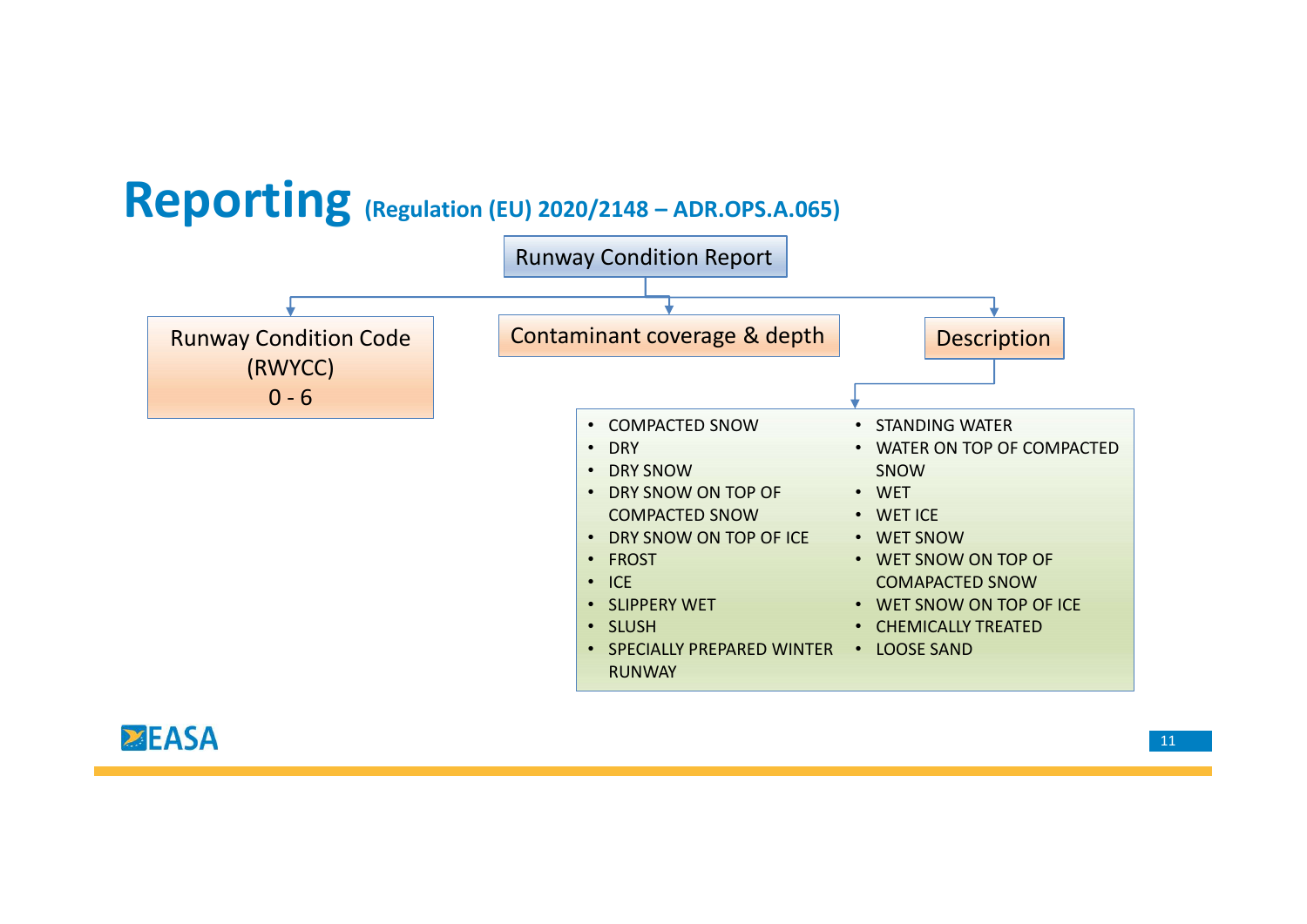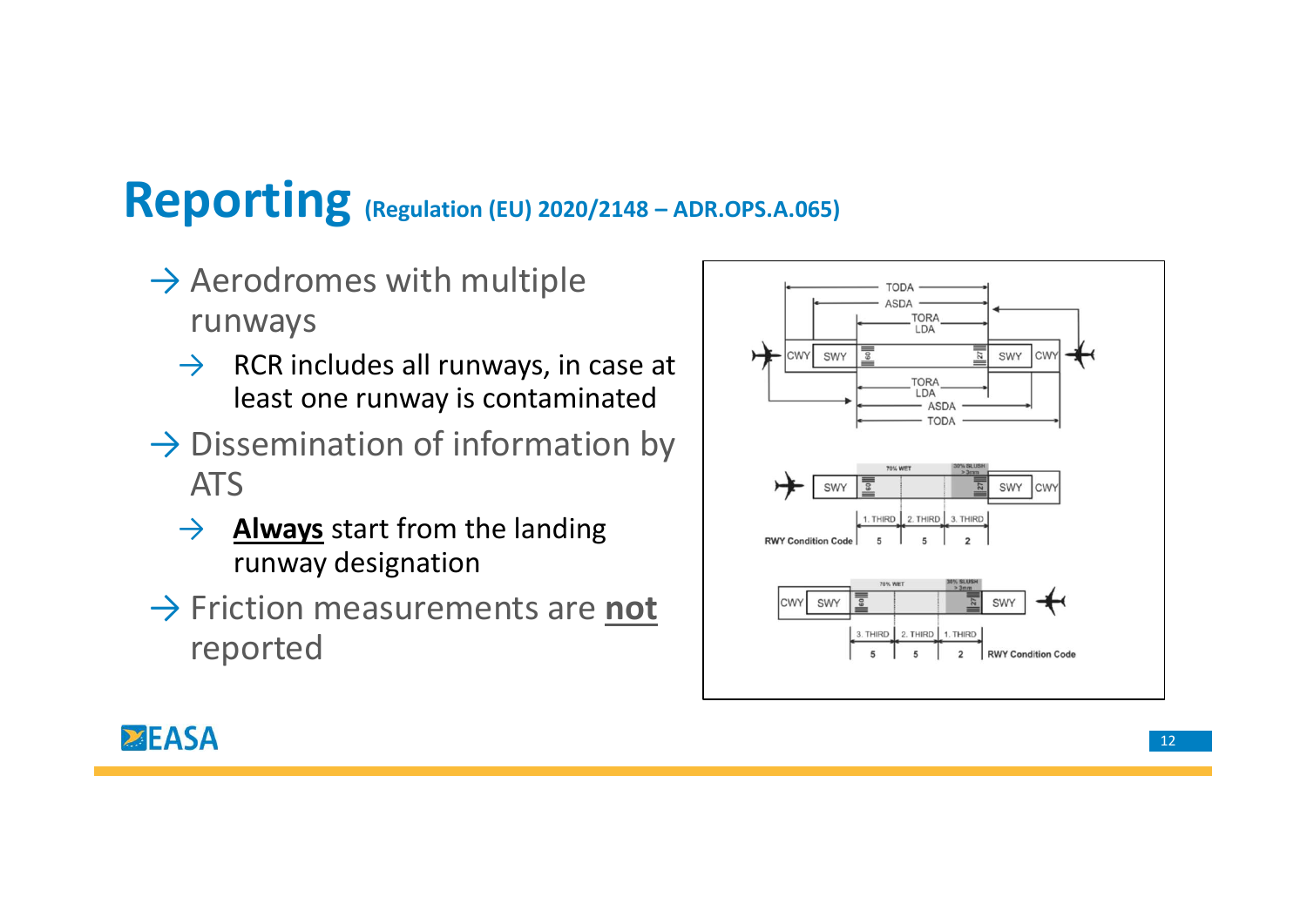- $\rightarrow$  Aerodromes with multiple runways
	- $\rightarrow$  RCR includes all runways, in case at  $\rightarrow$ least one runway is contaminated
- $\rightarrow$  Dissemination of information by ATS
	- $\rightarrow$  **Always** start from the landing runway designation
- → Friction measurements are not |  $\frac{1}{\text{cm} \cdot \text{cm} \cdot \text{cm}}$ reported



## **EASA**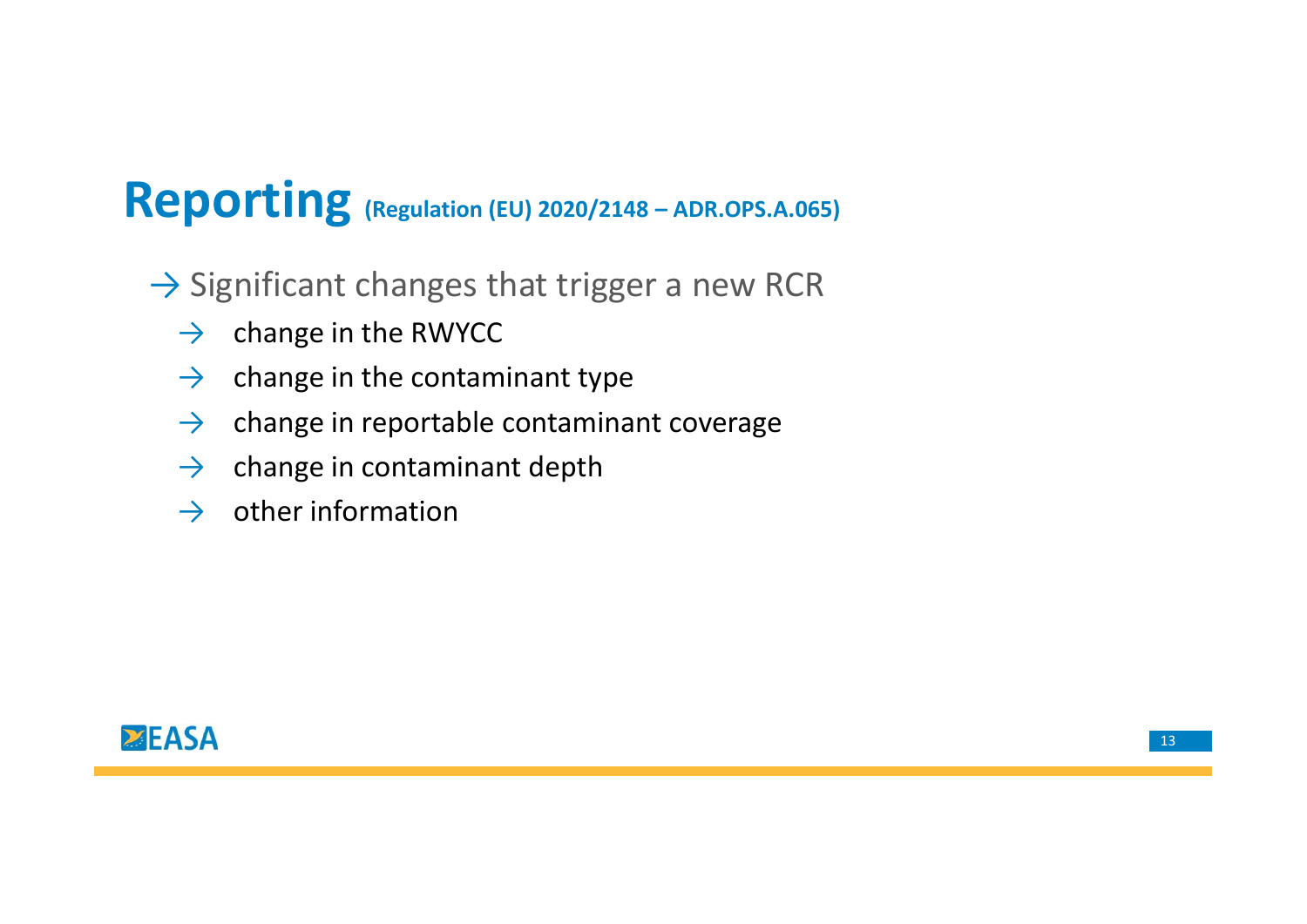# Reporting (Regulation (EU) 2020/2148 – ADR.OPS.A.065)<br>  $\rightarrow$  Significant changes that trigger a new RCR

- $\rightarrow$  Significant changes that trigger a new RCR
	- $\rightarrow$  change in the RWYCC
	- $\rightarrow$  change in the contaminant type
	- $\rightarrow$  change in reportable contaminant coverage
	- $\rightarrow$  change in contaminant depth
	- $\rightarrow$  other information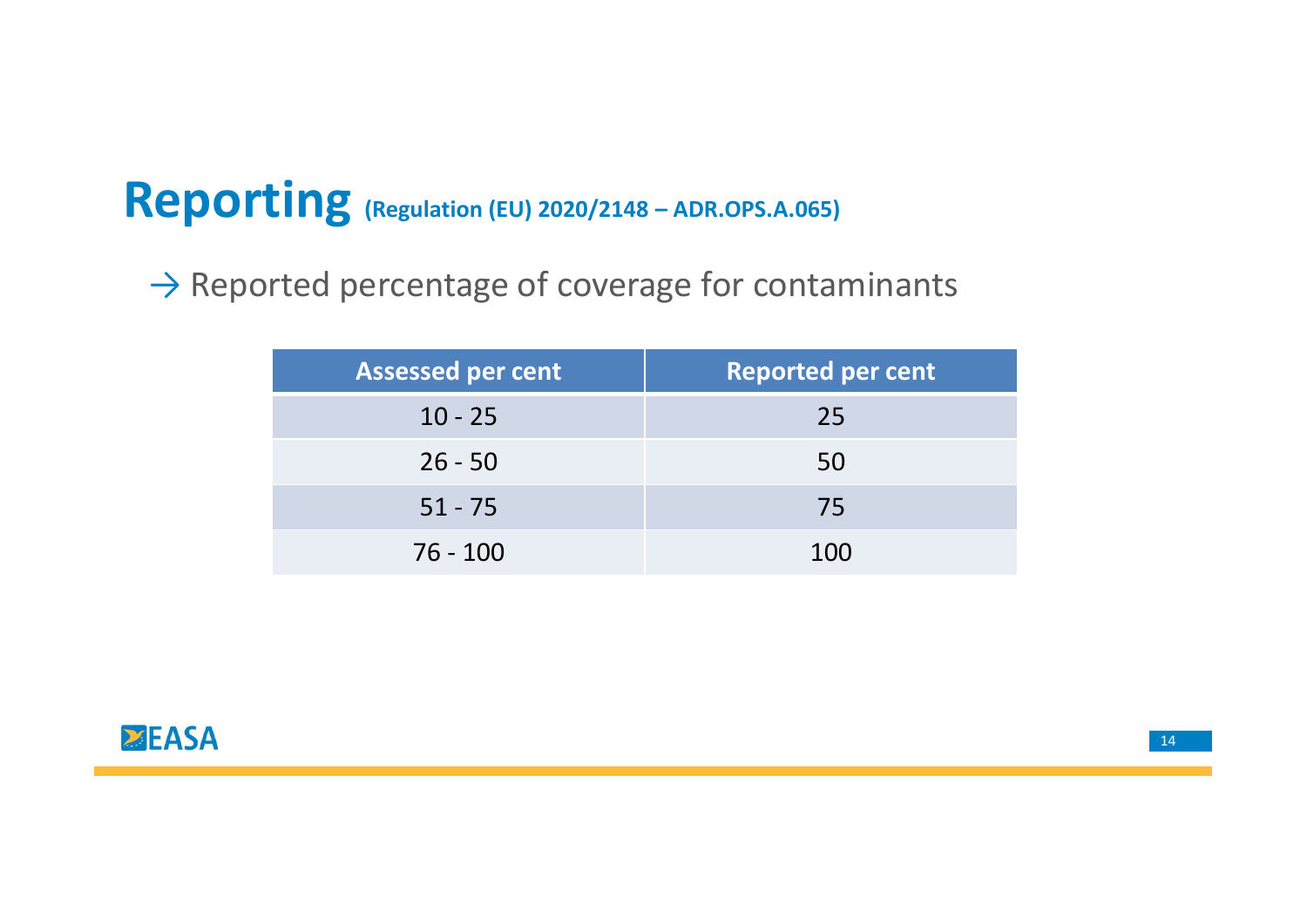# Reporting (Regulation (EU) 2020/2148 – ADR.OPS.A.065)<br>→ Reported percentage of coverage for contaminants

 $\rightarrow$  Reported percentage of coverage for contaminants

| $\overline{2}$ (Regulation (EU) 2020/2148 – ADR.OPS.A.065) |                                              |  |  |
|------------------------------------------------------------|----------------------------------------------|--|--|
|                                                            | rted percentage of coverage for contaminants |  |  |
| <b>Assessed per cent</b>                                   | <b>Reported per cent</b>                     |  |  |
| $10 - 25$                                                  | 25                                           |  |  |
| $26 - 50$                                                  | 50                                           |  |  |
|                                                            |                                              |  |  |
| $51 - 75$                                                  | 75                                           |  |  |
| $76 - 100$                                                 | 100                                          |  |  |
|                                                            |                                              |  |  |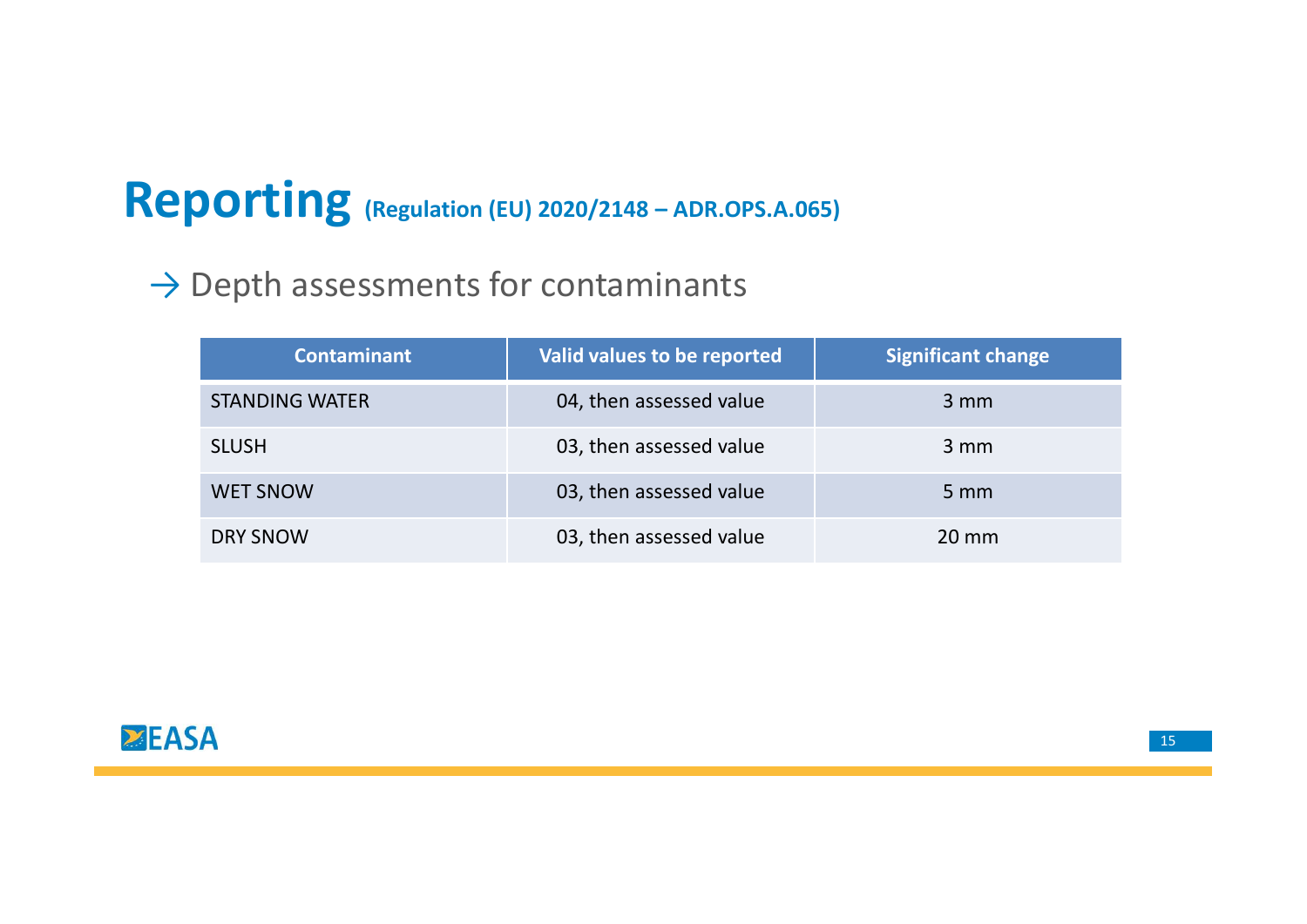# Reporting (Regulation (EU) 2020/2148 – ADR.OPS.A.065)<br>
→ Depth assessments for contaminants

## $\rightarrow$  Depth assessments for contaminants

| Depth assessments for contaminants | $\overline{\text{norm}}$ (Regulation (EU) 2020/2148 - ADR.OPS.A.065) |                           |
|------------------------------------|----------------------------------------------------------------------|---------------------------|
| <b>Contaminant</b>                 | Valid values to be reported                                          | <b>Significant change</b> |
| <b>STANDING WATER</b>              | 04, then assessed value                                              | 3 mm                      |
| <b>SLUSH</b>                       | 03, then assessed value                                              | 3 mm                      |
| <b>WET SNOW</b>                    | 03, then assessed value                                              | $5 \, \text{mm}$          |
| <b>DRY SNOW</b>                    | 03, then assessed value                                              | 20 mm                     |
|                                    |                                                                      |                           |
|                                    |                                                                      |                           |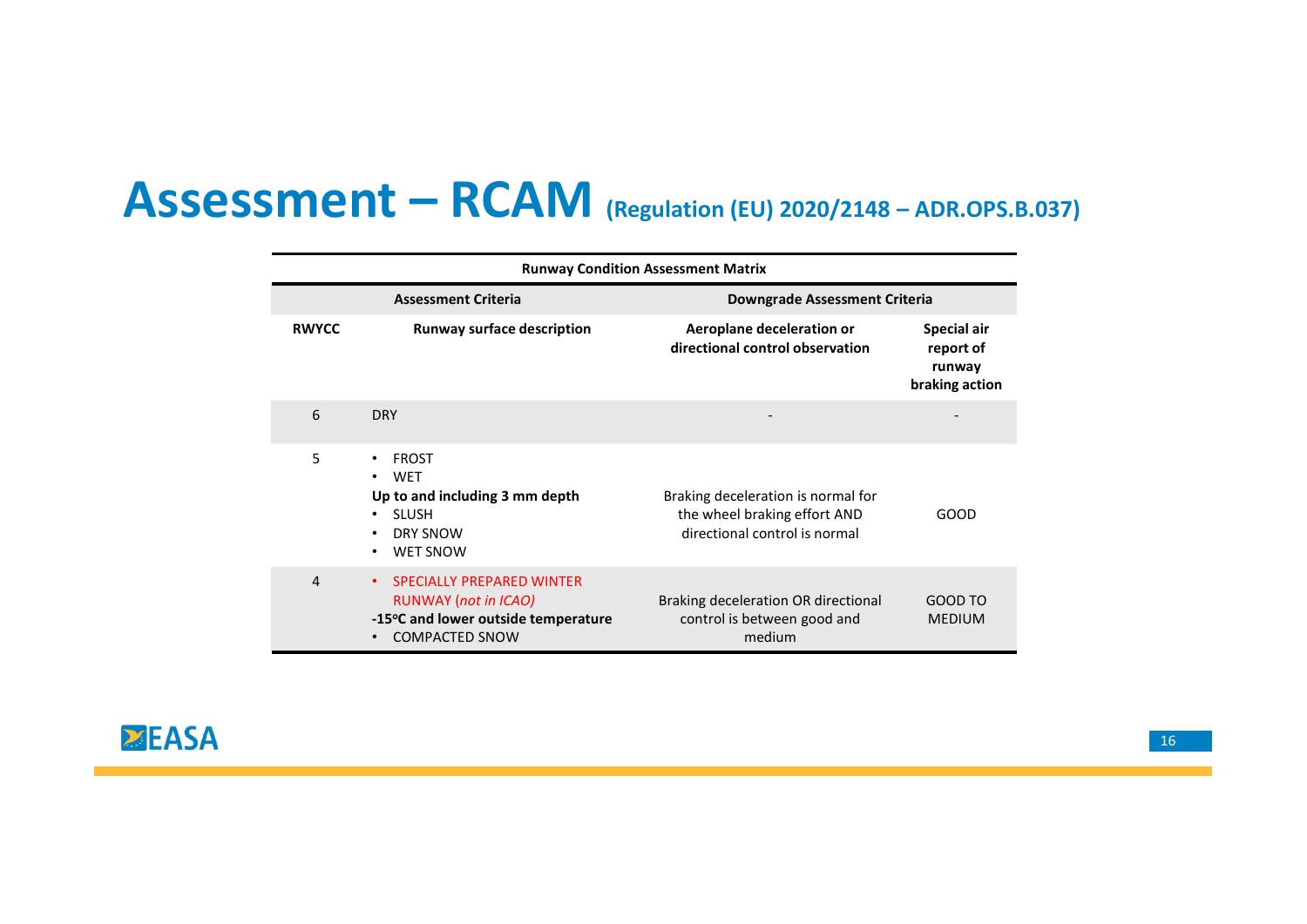|                  |                                                            | Assessment - RCAM (Regulation (EU) 2020/2148 - ADR.OPS.B.037)                     |                                                      |
|------------------|------------------------------------------------------------|-----------------------------------------------------------------------------------|------------------------------------------------------|
|                  | <b>Assessment Criteria</b>                                 | <b>Runway Condition Assessment Matrix</b><br><b>Downgrade Assessment Criteria</b> |                                                      |
| <b>RWYCC</b>     | <b>Runway surface description</b>                          | Aeroplane deceleration or<br>directional control observation                      | Special air<br>report of<br>runway<br>braking action |
| $\boldsymbol{6}$ | <b>DRY</b>                                                 |                                                                                   |                                                      |
| 5                | • FROST<br>$\bullet$ WET<br>Up to and including 3 mm depth | Braking deceleration is normal for<br>the wheel braking effort AND                | GOOD                                                 |
|                  | • SLUSH<br>• DRY SNOW<br>• WET SNOW                        | directional control is normal                                                     |                                                      |

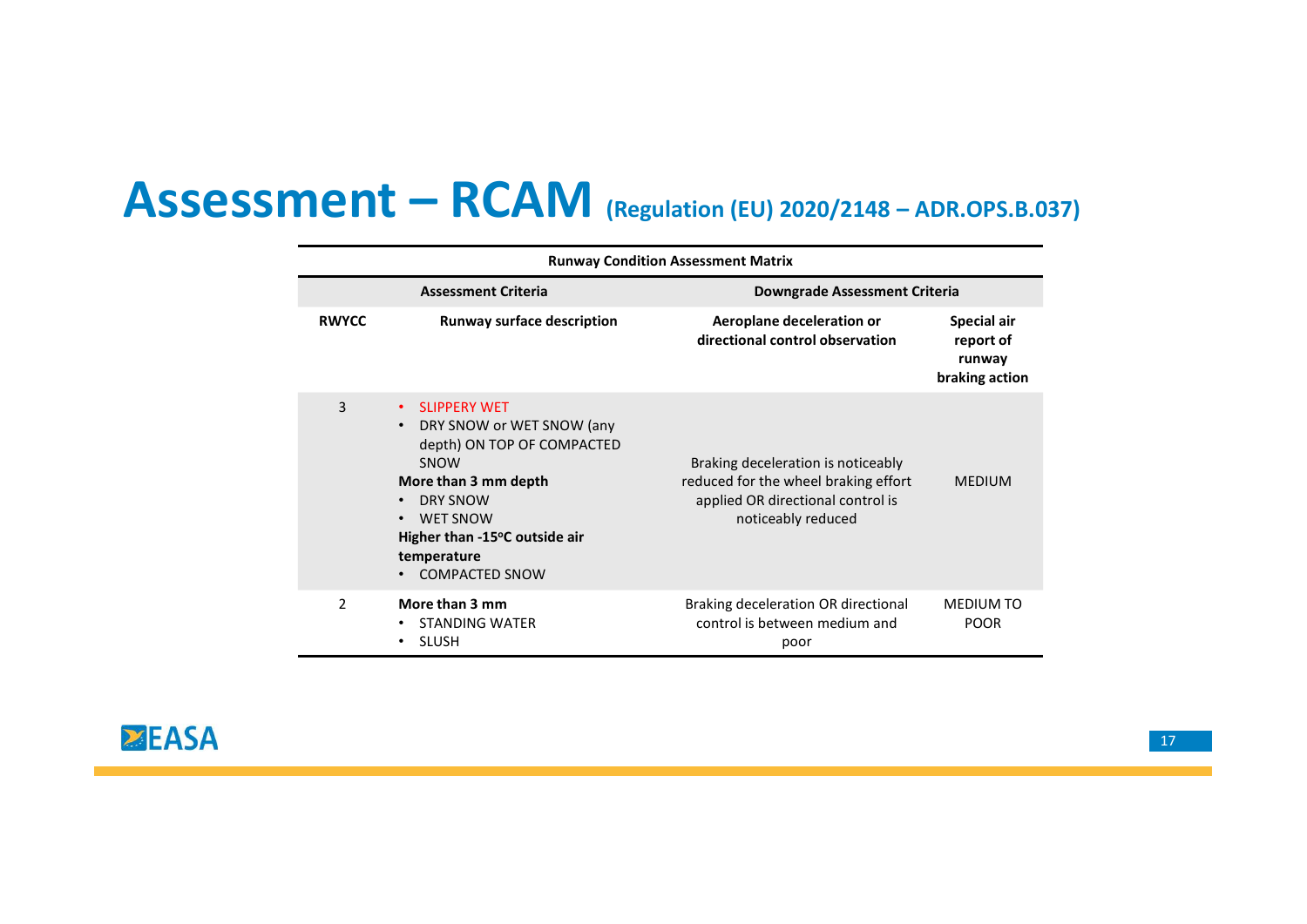|                | Assessment - RCAM (Regulation (EU) 2020/2148 - ADR.OPS.B.037)                                                                                                                                               |                                                                                                                                       |                                                      |
|----------------|-------------------------------------------------------------------------------------------------------------------------------------------------------------------------------------------------------------|---------------------------------------------------------------------------------------------------------------------------------------|------------------------------------------------------|
|                |                                                                                                                                                                                                             |                                                                                                                                       |                                                      |
|                |                                                                                                                                                                                                             | <b>Runway Condition Assessment Matrix</b>                                                                                             |                                                      |
|                | <b>Assessment Criteria</b>                                                                                                                                                                                  | <b>Downgrade Assessment Criteria</b>                                                                                                  |                                                      |
| <b>RWYCC</b>   | <b>Runway surface description</b>                                                                                                                                                                           | Aeroplane deceleration or<br>directional control observation                                                                          | Special air<br>report of<br>runway<br>braking action |
| $\overline{3}$ | • SLIPPERY WET<br>• DRY SNOW or WET SNOW (any<br>depth) ON TOP OF COMPACTED<br>SNOW<br>More than 3 mm depth<br>• DRY SNOW<br>• WET SNOW<br>Higher than -15°C outside air<br>temperature<br>• COMPACTED SNOW | Braking deceleration is noticeably<br>reduced for the wheel braking effort<br>applied OR directional control is<br>noticeably reduced | <b>MEDIUM</b>                                        |
|                |                                                                                                                                                                                                             |                                                                                                                                       | MEDIUM TO                                            |

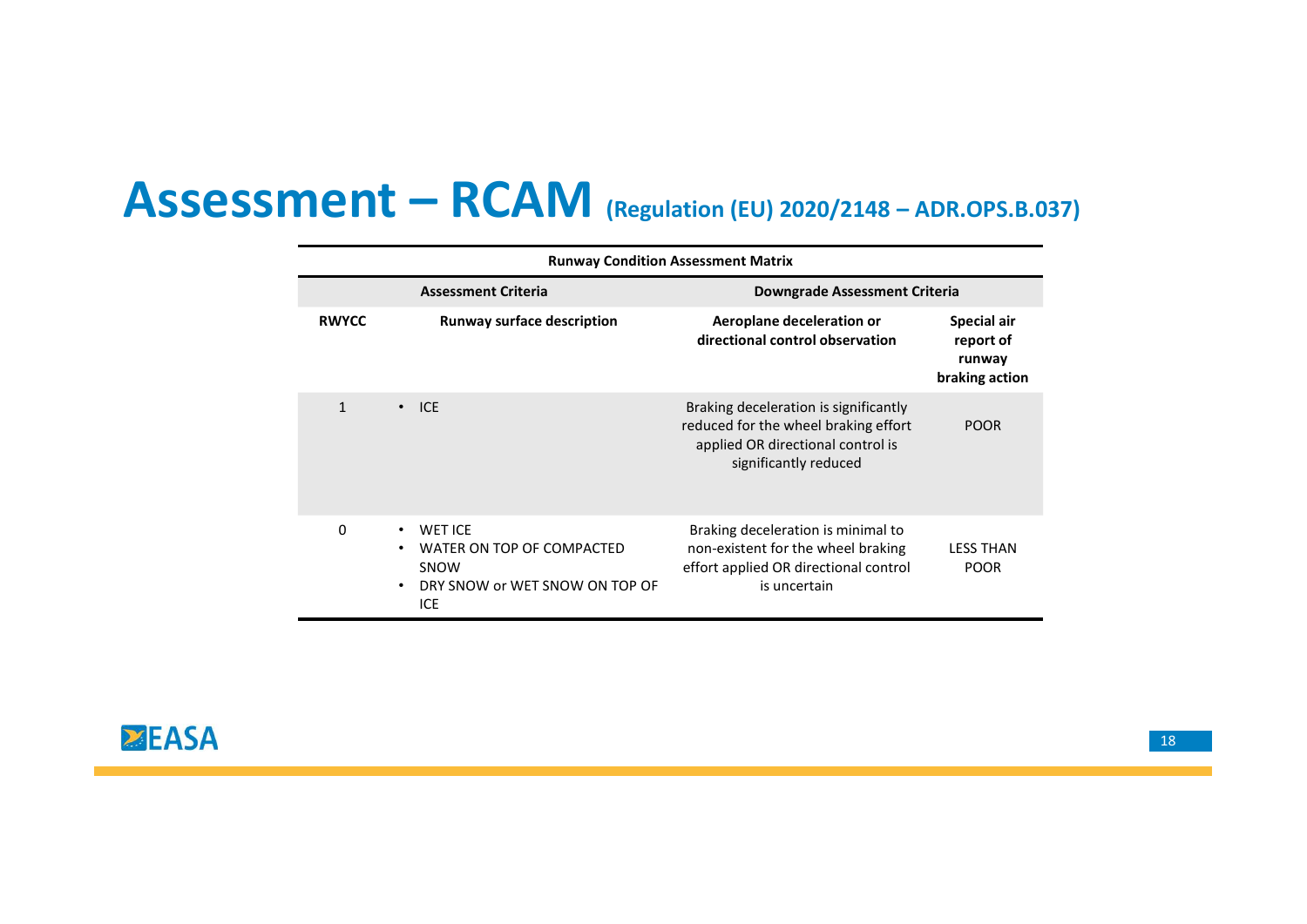|              |                                   | Assessment - RCAM (Regulation (EU) 2020/2148 - ADR.OPS.B.037)<br><b>Runway Condition Assessment Matrix</b> |                                                      |
|--------------|-----------------------------------|------------------------------------------------------------------------------------------------------------|------------------------------------------------------|
|              | <b>Assessment Criteria</b>        | <b>Downgrade Assessment Criteria</b>                                                                       |                                                      |
| <b>RWYCC</b> | <b>Runway surface description</b> | Aeroplane deceleration or<br>directional control observation                                               | Special air<br>report of<br>runway<br>braking action |
| $\mathbf{1}$ | $\cdot$ ICE                       | Braking deceleration is significantly<br>reduced for the wheel braking effort                              | <b>POOR</b>                                          |
|              |                                   | applied OR directional control is<br>significantly reduced                                                 |                                                      |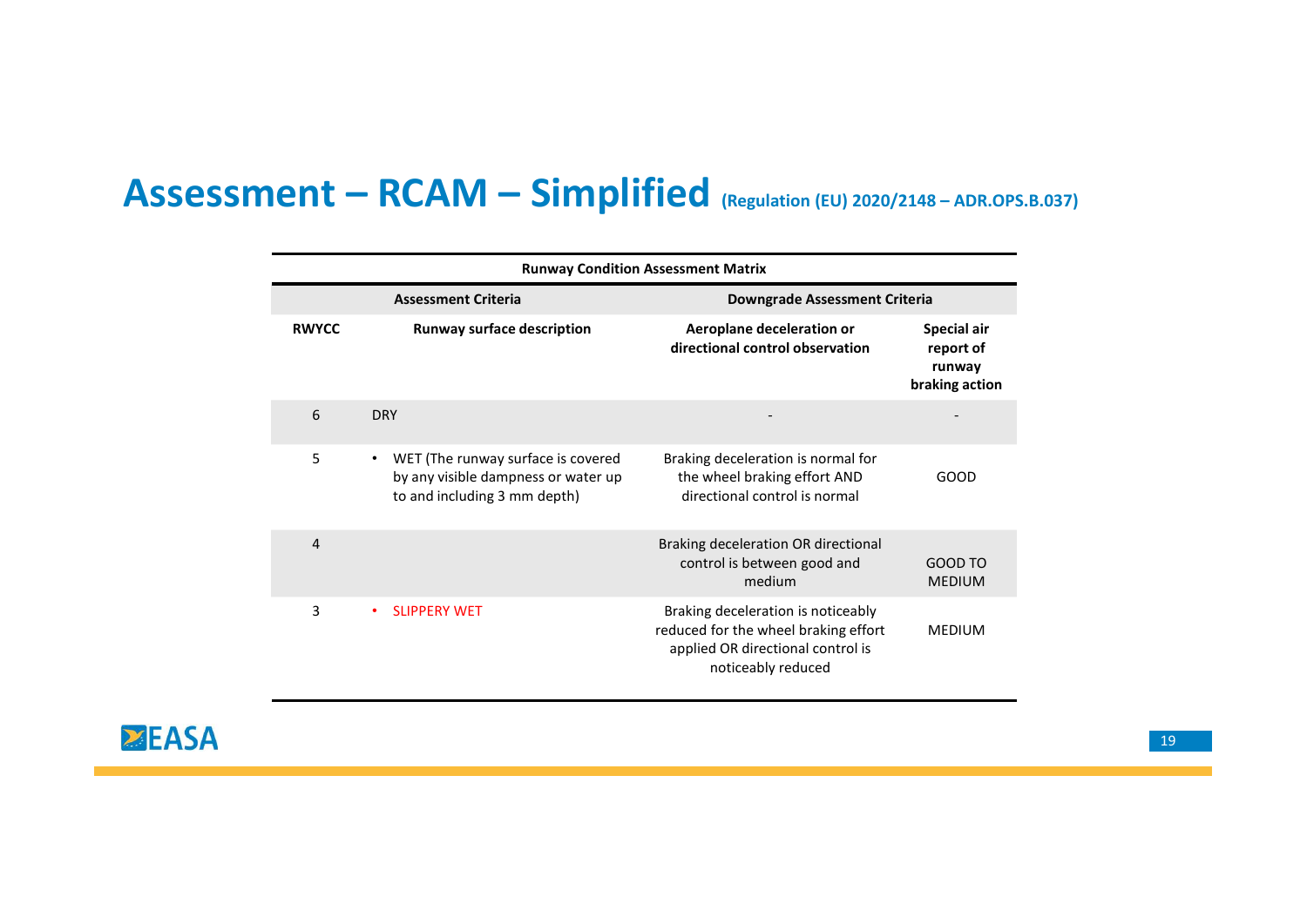|                  | Assessment - RCAM - Simplified (Regulation (EU) 2020/2148 - ADR.OPS.B.037)                                  |                                                                                                     |                                                      |
|------------------|-------------------------------------------------------------------------------------------------------------|-----------------------------------------------------------------------------------------------------|------------------------------------------------------|
|                  |                                                                                                             |                                                                                                     |                                                      |
|                  |                                                                                                             | <b>Runway Condition Assessment Matrix</b>                                                           |                                                      |
|                  | <b>Assessment Criteria</b>                                                                                  | <b>Downgrade Assessment Criteria</b>                                                                |                                                      |
| <b>RWYCC</b>     | <b>Runway surface description</b>                                                                           | Aeroplane deceleration or<br>directional control observation                                        | Special air<br>report of<br>runway<br>braking action |
| $\boldsymbol{6}$ | <b>DRY</b>                                                                                                  |                                                                                                     | $\overline{\phantom{a}}$                             |
| 5                | • WET (The runway surface is covered<br>by any visible dampness or water up<br>to and including 3 mm depth) | Braking deceleration is normal for<br>the wheel braking effort AND<br>directional control is normal | GOOD                                                 |
| $\sqrt{4}$       |                                                                                                             | Braking deceleration OR directional<br>control is between good and<br>medium                        | GOOD TO<br>MEDIUM                                    |
|                  |                                                                                                             |                                                                                                     |                                                      |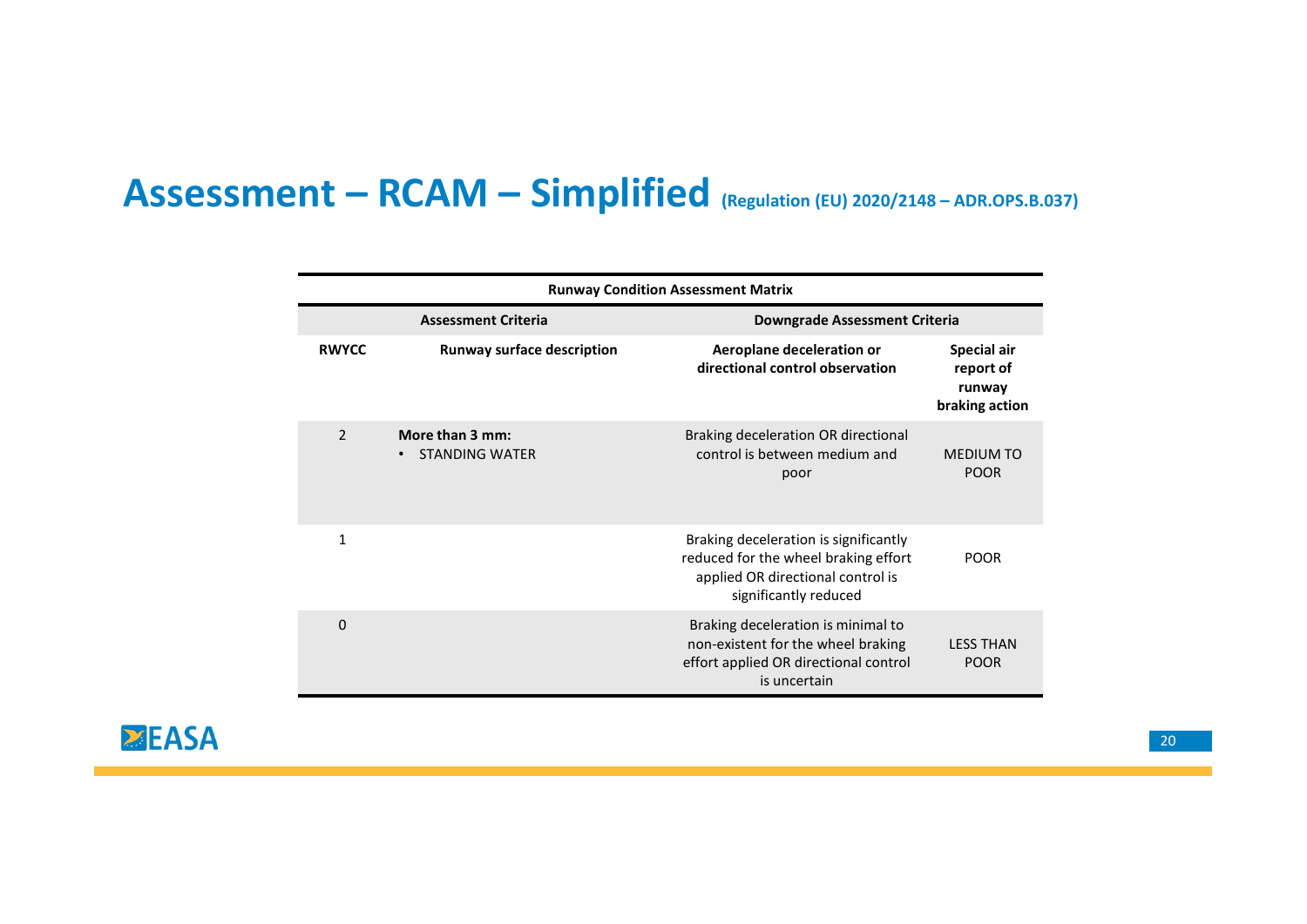# $\begin{array}{l} \mathsf{Assessment-RCAM- Simplified}_{\text{(Regulation (EU) 2020/2148-ADROPS.B.037)}} \\\hline \text{Rumpers} \end{array}$

|                |                                                       | $nt - RCAM - Simplified_{(Regulation (EU) 2020/2148 - ADR.OPS.B.037)}$                                                                      |                                                      |
|----------------|-------------------------------------------------------|---------------------------------------------------------------------------------------------------------------------------------------------|------------------------------------------------------|
|                |                                                       |                                                                                                                                             |                                                      |
|                |                                                       | <b>Runway Condition Assessment Matrix</b>                                                                                                   |                                                      |
|                | <b>Assessment Criteria</b>                            | <b>Downgrade Assessment Criteria</b>                                                                                                        |                                                      |
| <b>RWYCC</b>   | <b>Runway surface description</b>                     | Aeroplane deceleration or<br>directional control observation                                                                                | Special air<br>report of<br>runway<br>braking action |
| $\overline{2}$ | More than 3 mm:<br><b>STANDING WATER</b><br>$\bullet$ | Braking deceleration OR directional<br>control is between medium and<br>poor                                                                | <b>MEDIUM TO</b><br><b>POOR</b>                      |
| $\mathbf{1}$   |                                                       | Braking deceleration is significantly<br>reduced for the wheel braking effort<br>applied OR directional control is<br>significantly reduced | <b>POOR</b>                                          |
| $\pmb{0}$      |                                                       | Braking deceleration is minimal to<br>non-existent for the wheel braking<br>effort applied OR directional control<br>is uncertain           | <b>LESS THAN</b><br><b>POOR</b>                      |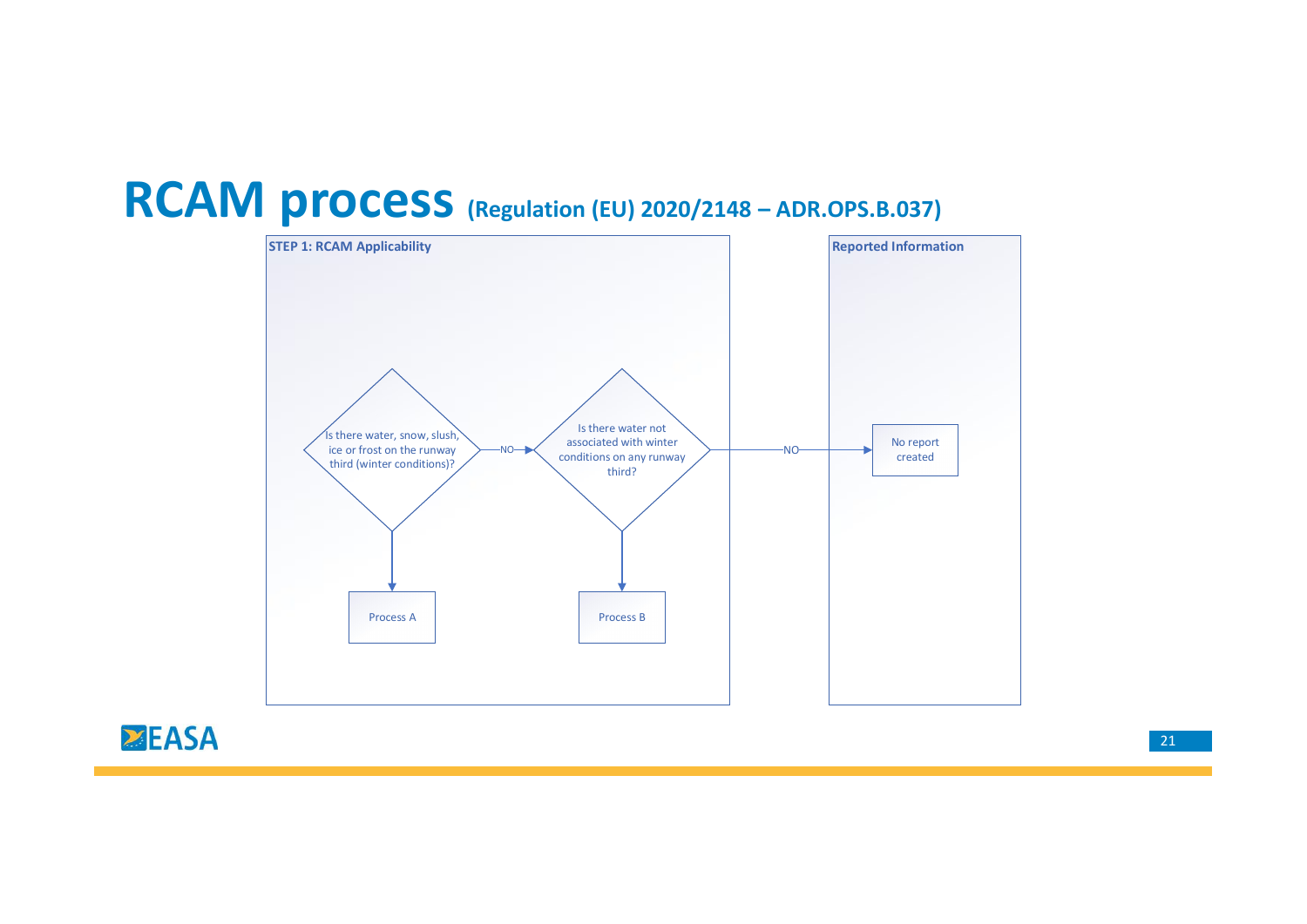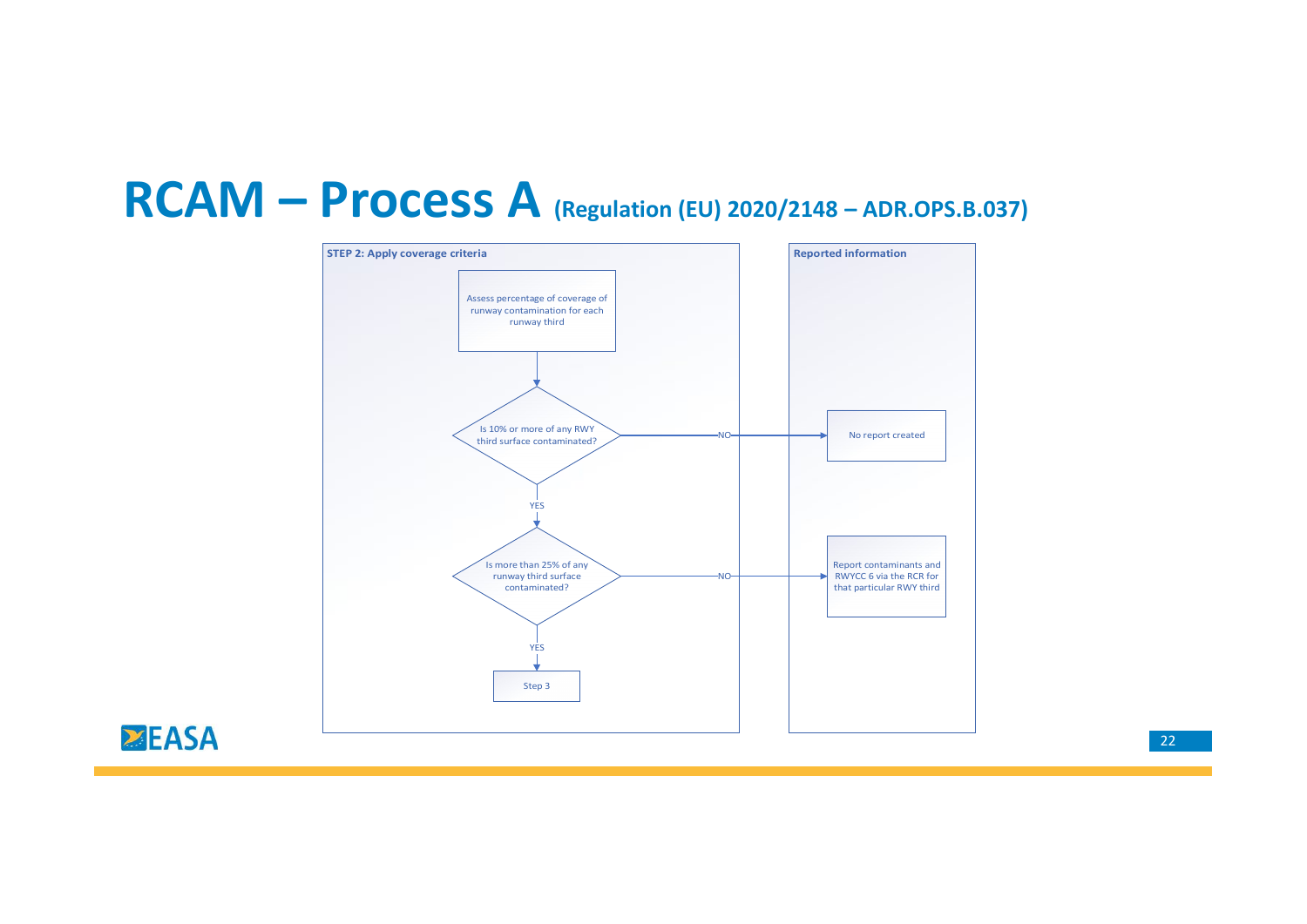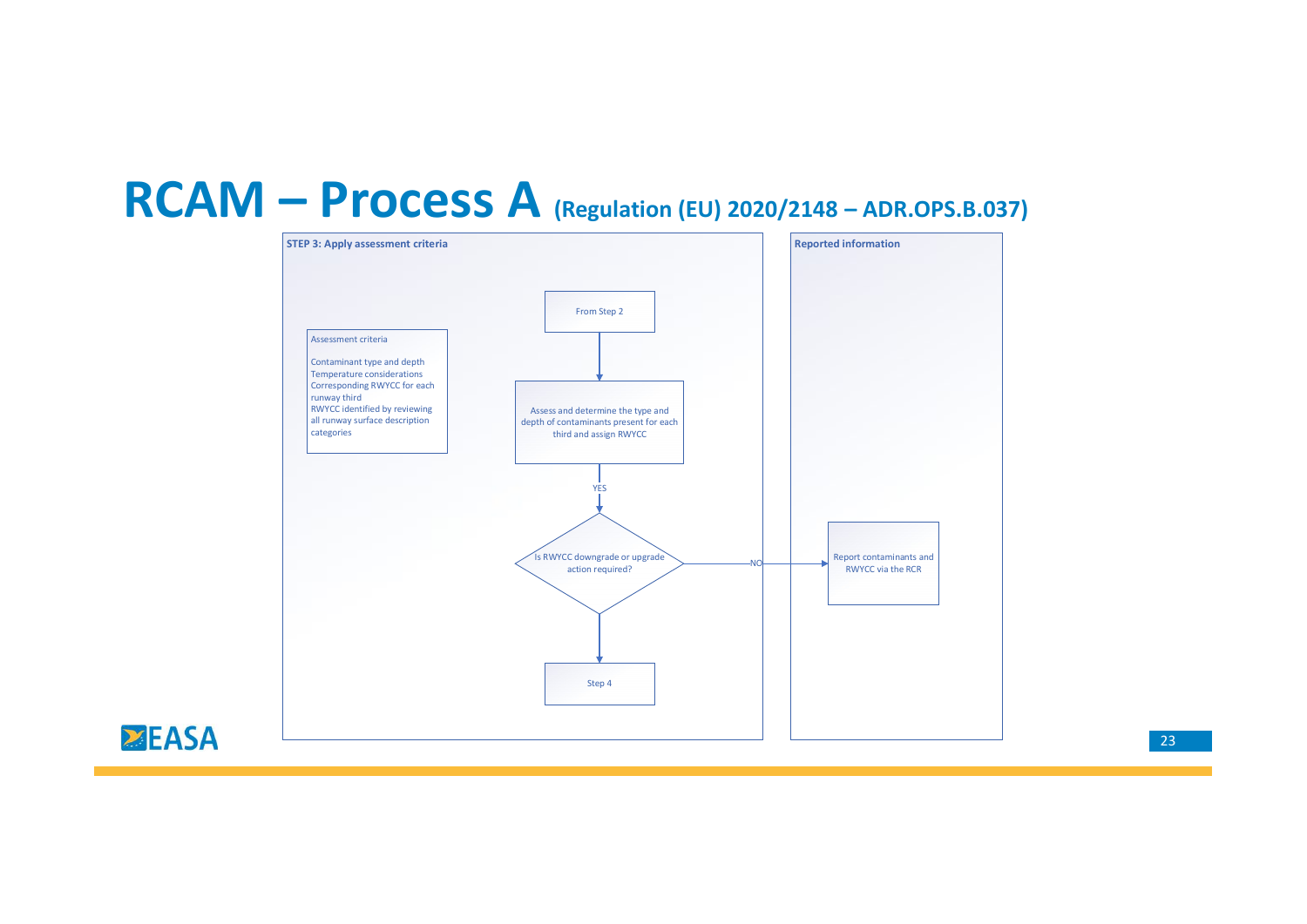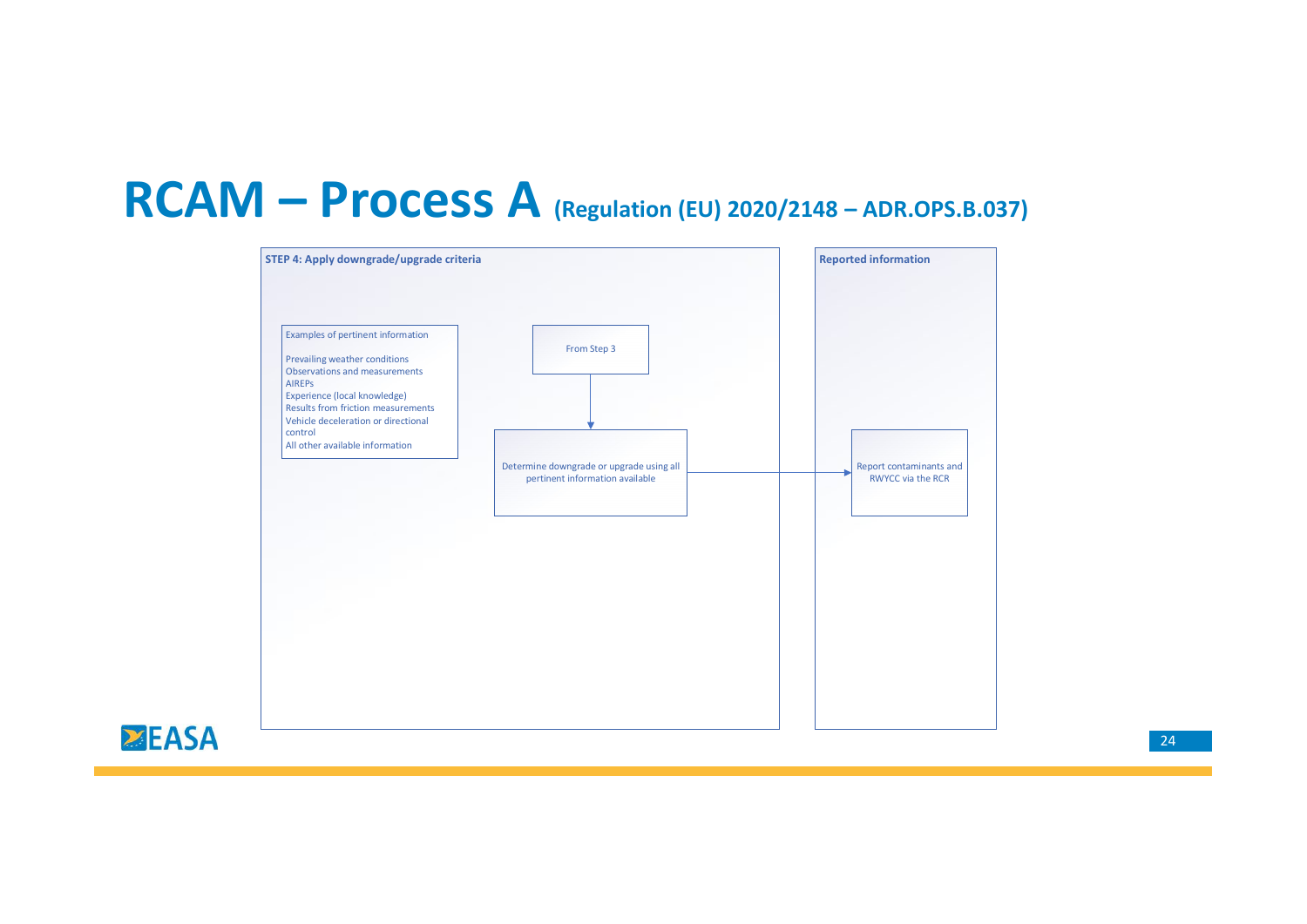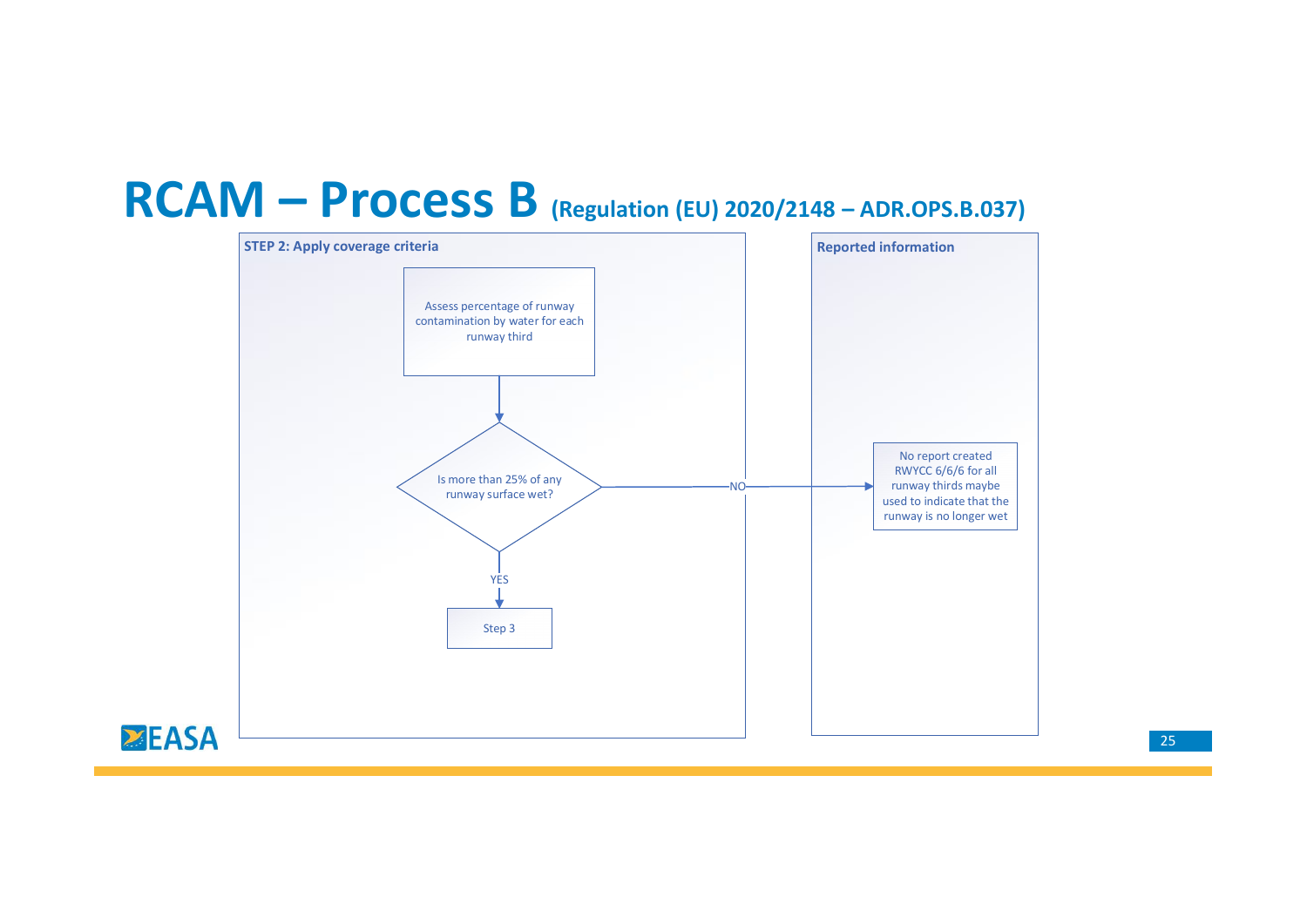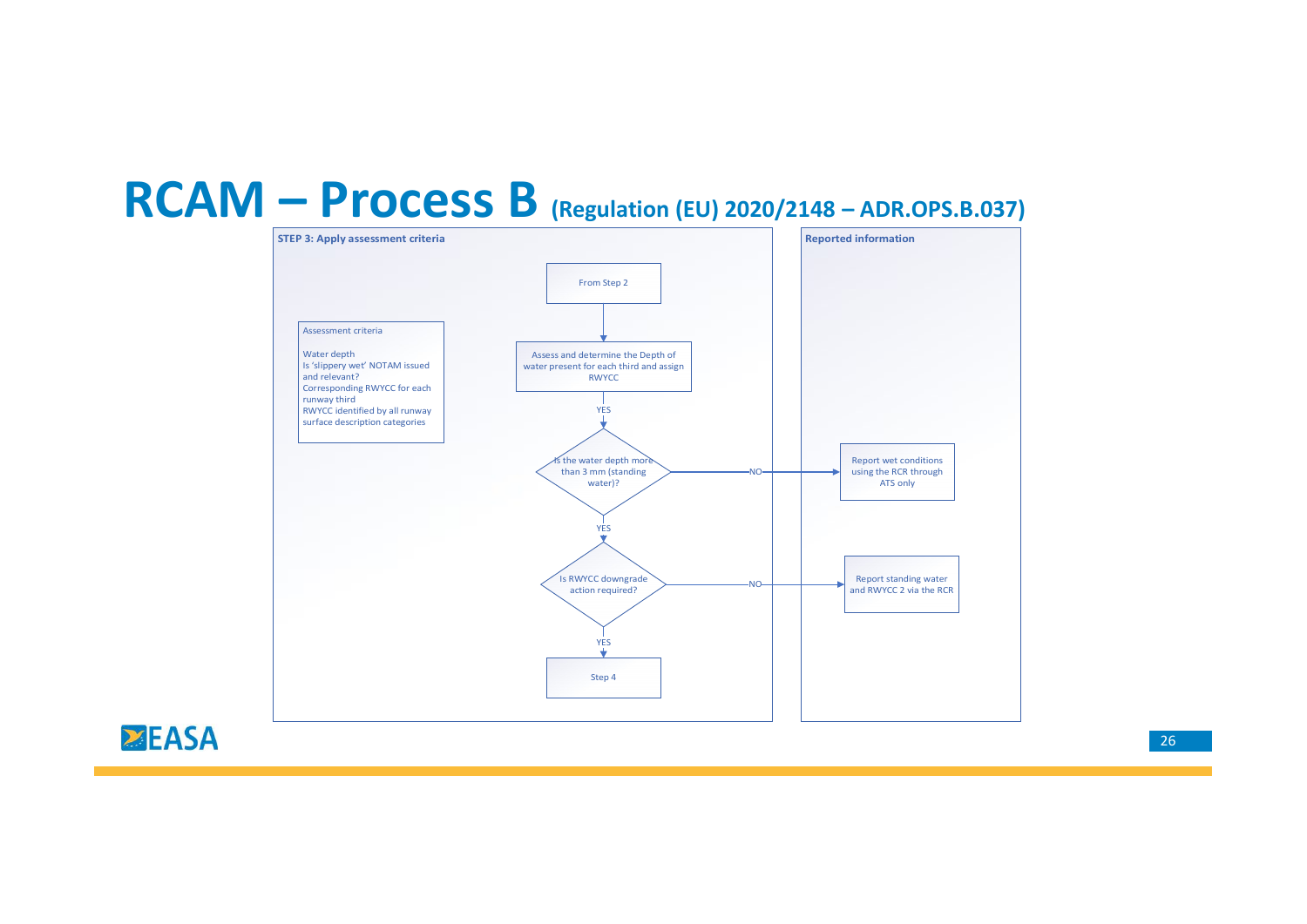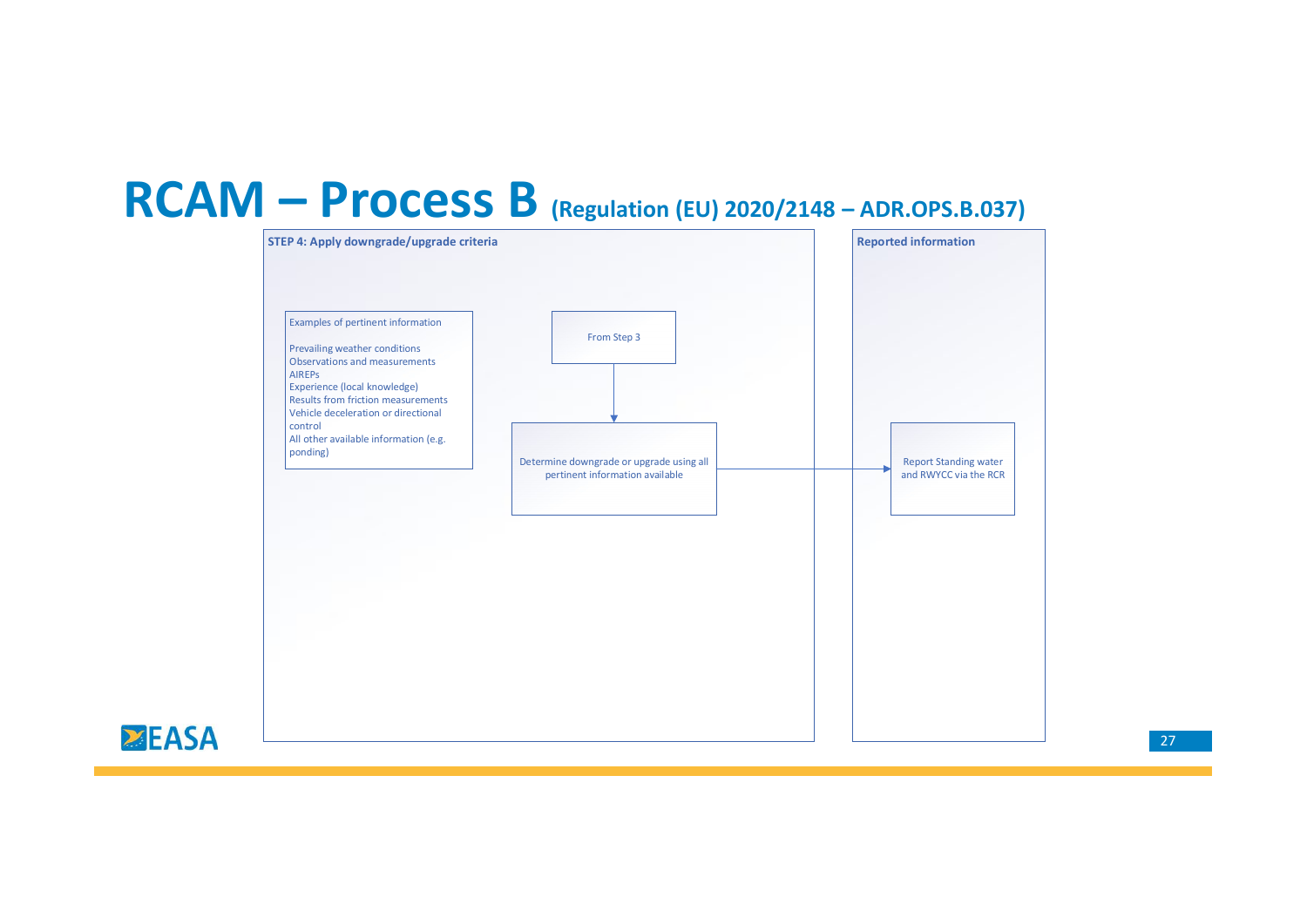

## 27 and the contract of the contract of the contract of the contract of the contract of the contract of the contract of the contract of the contract of the contract of the contract of the contract of the contract of the con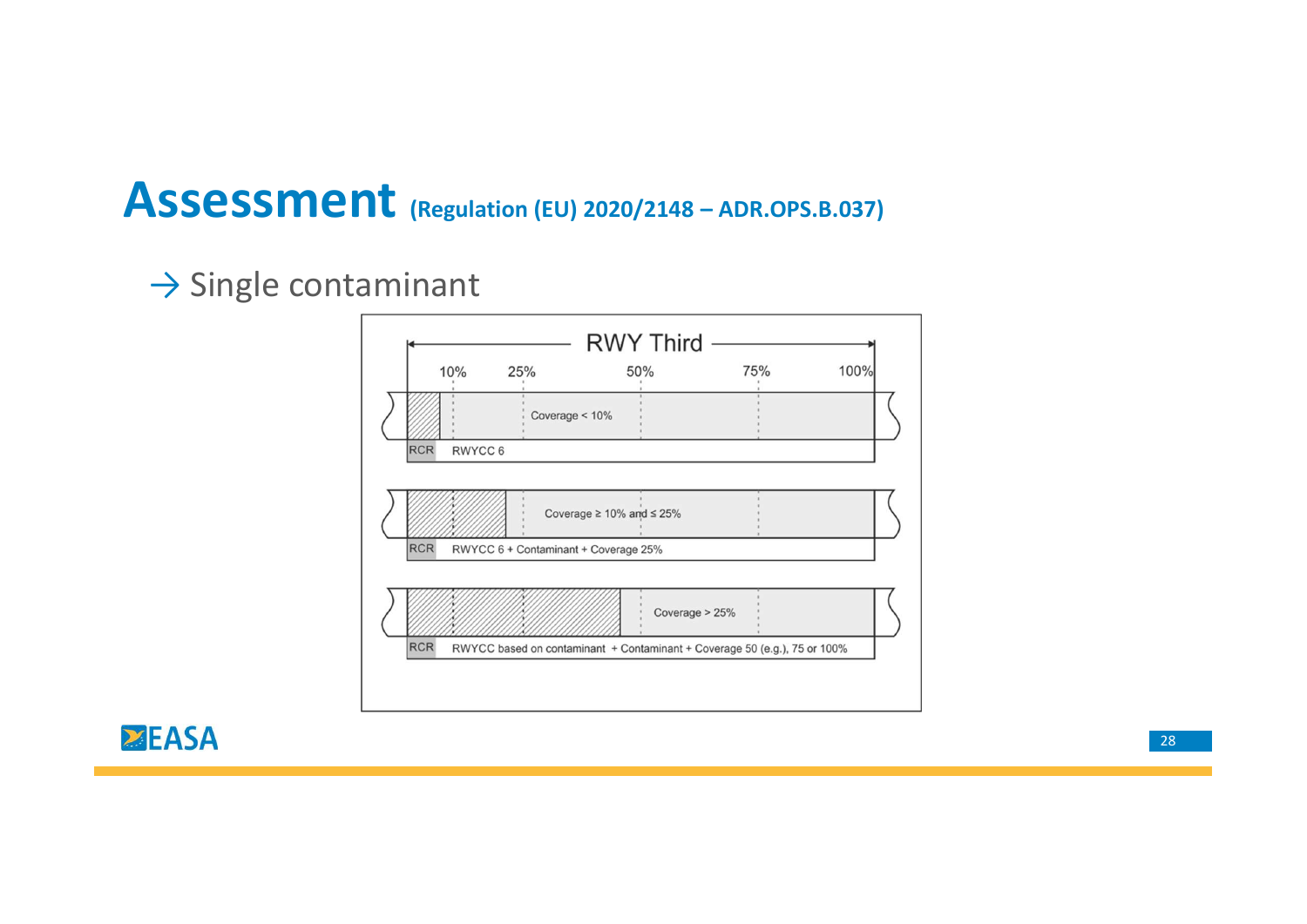# Assessment (Regulation (EU) 2020/2148 – ADR.OPS.B.037)<br>  $\rightarrow$  Single contaminant

## $\rightarrow$  Single contaminant

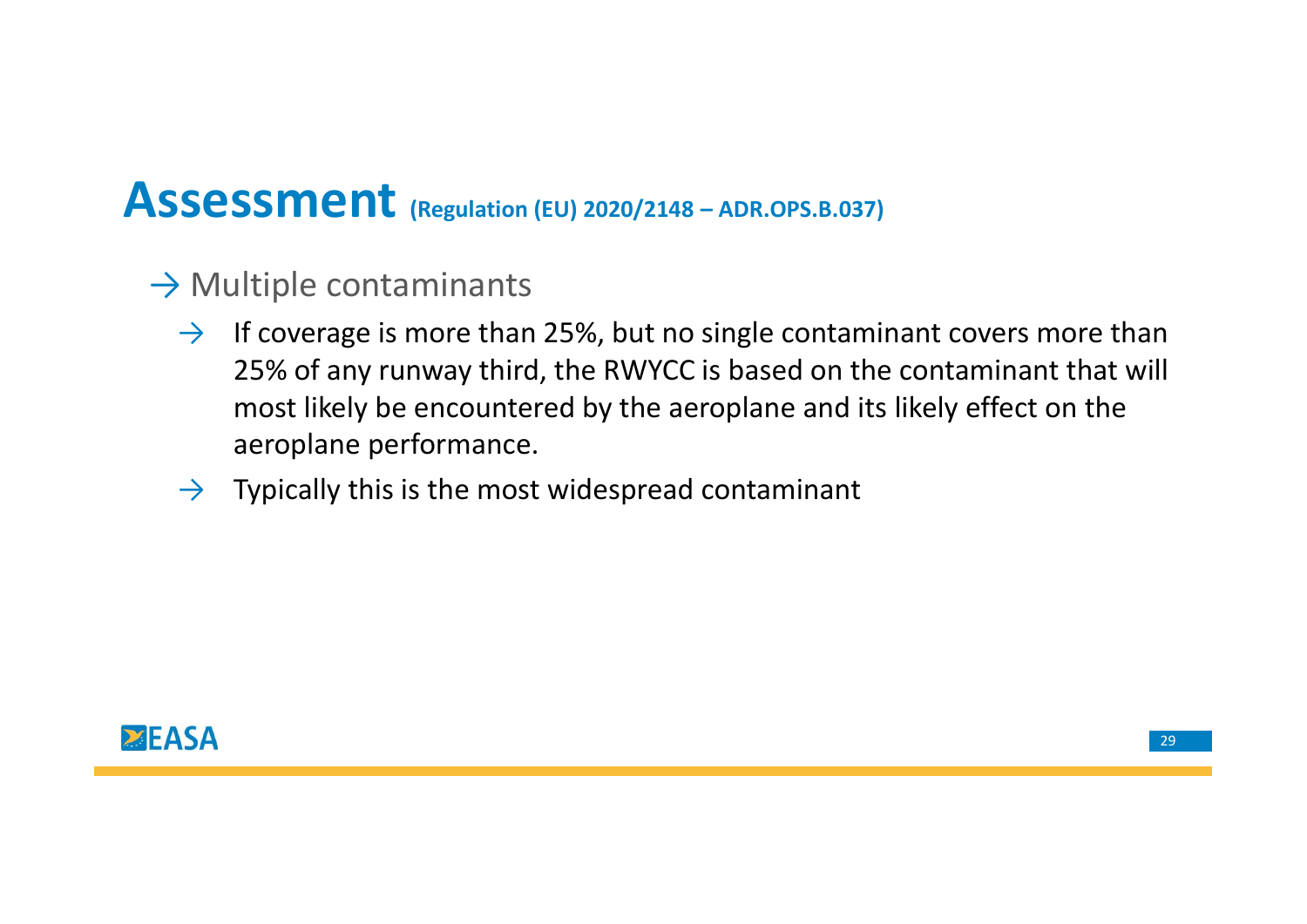# $\begin{aligned} & \text{Assessment}_{\text{(Regulation (EU) 2020/2148 - ADR.OPS.B.037)}} \\ & \rightarrow \text{Multiple contaminants} \ & \text{As supersymmetry in very than 25\%} \end{aligned}$

- $\rightarrow$  Multiple contaminants
	- $\rightarrow$  If coverage is more than 25%, but no single contaminant covers more than 25% of any runway third, the RWYCC is based on the contaminant that will most likely be encountered by the aeroplane and its likely effect on the aeroplane performance.
	- $\rightarrow$  Typically this is the most widespread contaminant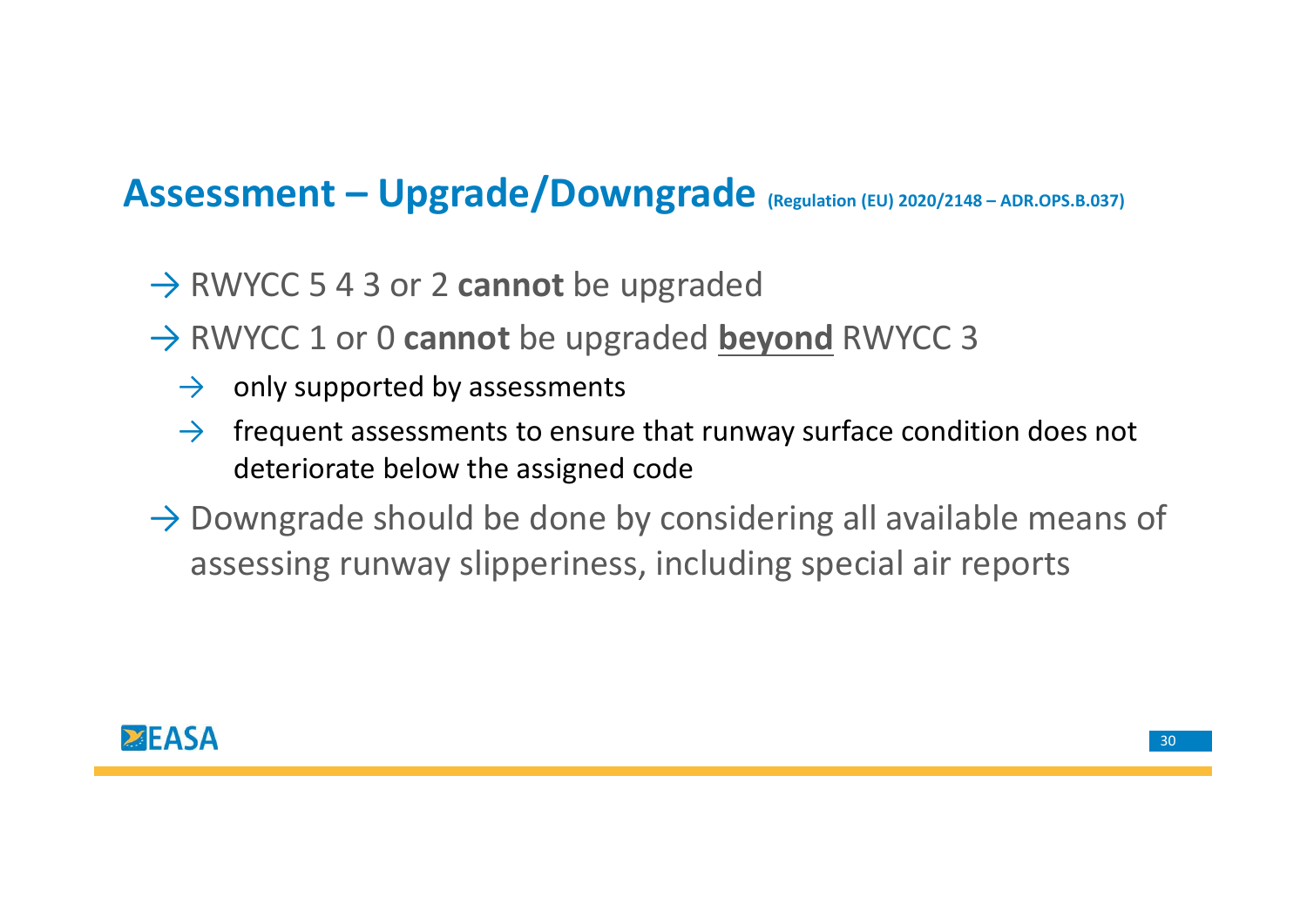# Assessment – Upgrade/Downgrade <sub>(Regulation (EU) 2020/2148 – ADR.OPS.B.037)</sub><br>→ RWYCC 5 4 3 or 2 cannot be upgraded

- $\rightarrow$  RWYCC 5 4 3 or 2 cannot be upgraded
- $\rightarrow$  RWYCC 1 or 0 cannot be upgraded beyond RWYCC 3
	- $\rightarrow$  only supported by assessments
	- $\rightarrow$  frequent assessments to ensure that runway surface condition does not deteriorate below the assigned code
- $\rightarrow$  Downgrade should be done by considering all available means of assessing runway slipperiness, including special air reports

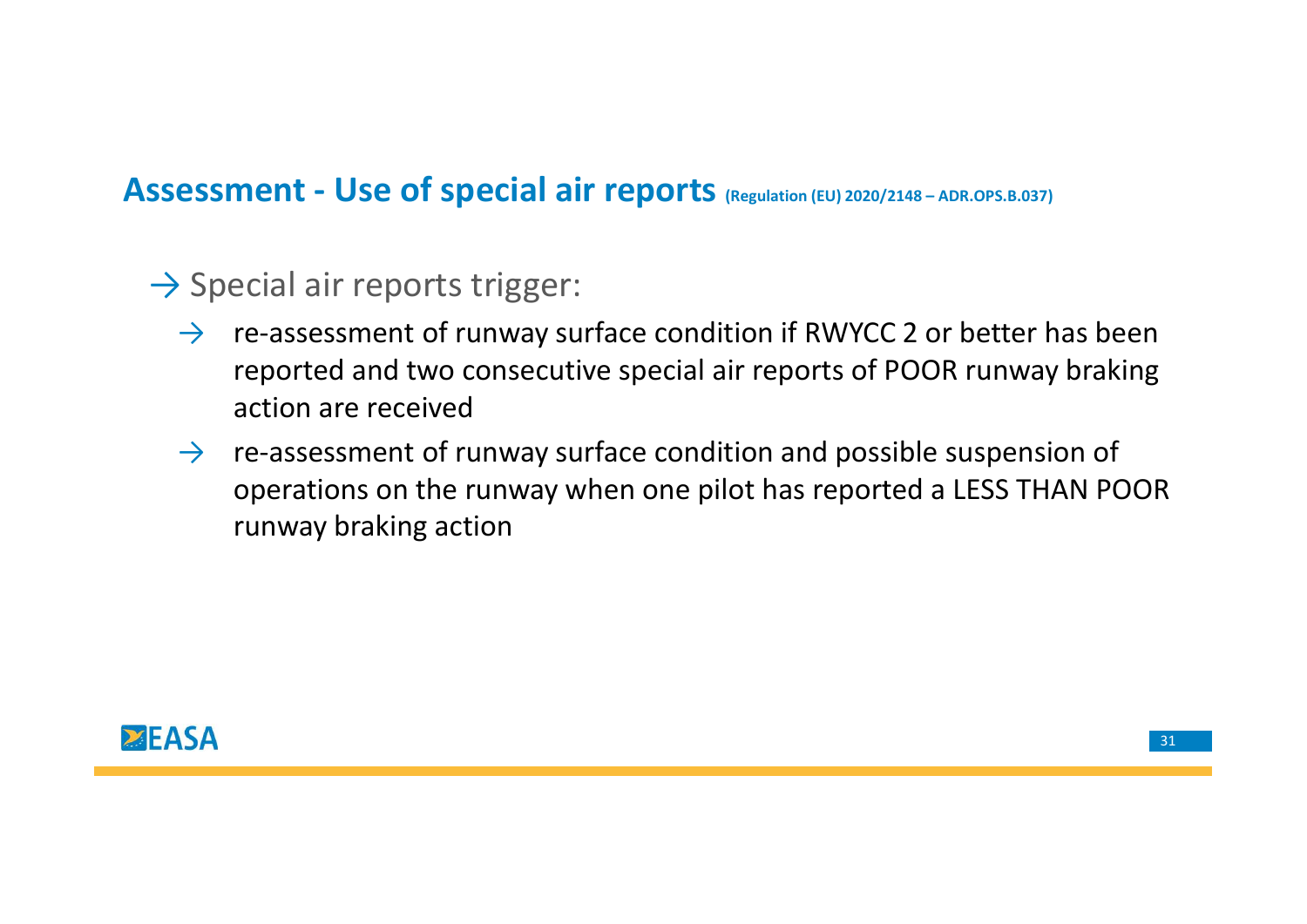# Assessment - Use of special air reports <sub>(Regulation (EU) 2020/2148 – ADR.OPS.B.037)</sub><br>→ Special air reports trigger:

- $\rightarrow$  Special air reports trigger:
	- $\rightarrow$  re-assessment of runway surface condition if RWYCC 2 or better has been reported and two consecutive special air reports of POOR runway braking action are received
	- $\rightarrow$  re-assessment of runway surface condition and possible suspension of operations on the runway when one pilot has reported a LESS THAN POOR runway braking action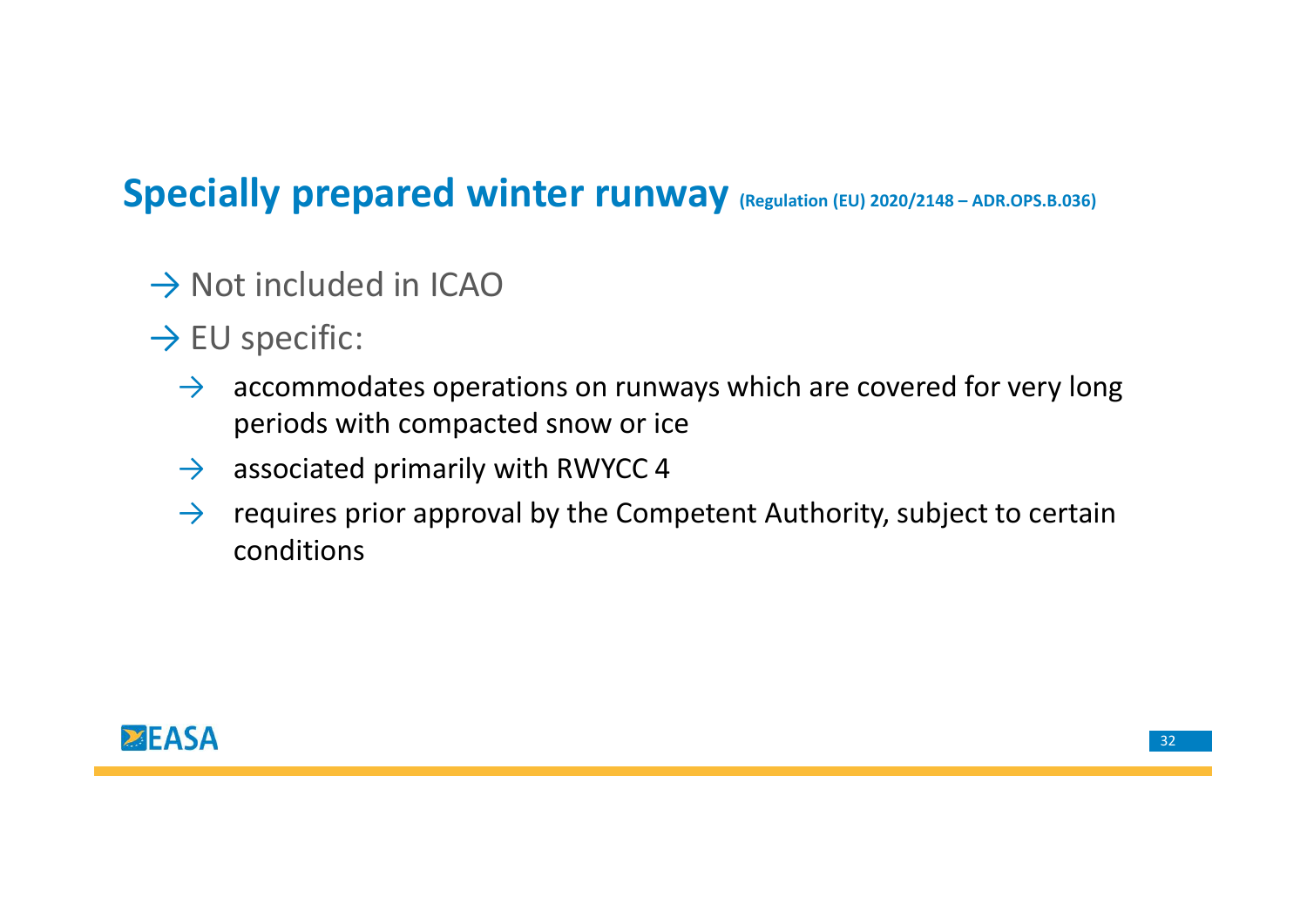# Specially prepared winter runway (Regulation (EU) 2020/2148-ADR.OPS.B.036)<br>
> Not included in ICAO

- $\rightarrow$  Not included in ICAO
- $\rightarrow$  EU specific:
	- $\rightarrow$  accommodates operations on runways which are covered for very long periods with compacted snow or ice
	- $\rightarrow$  associated primarily with RWYCC 4
	- $\rightarrow$  requires prior approval by the Competent Authority, subject to certain conditions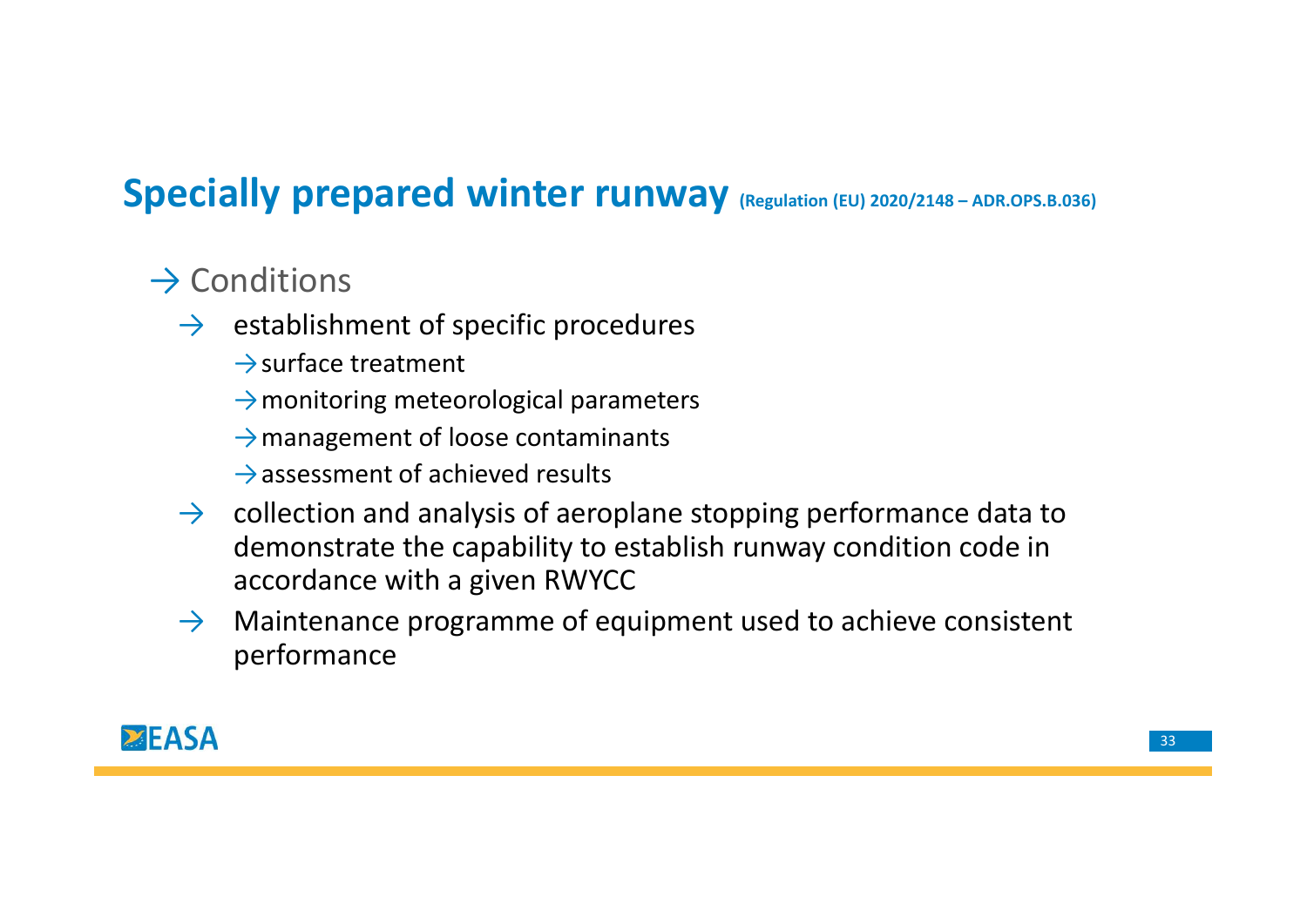# Specially prepared winter runway (Regulation (EU) 2020/2148-ADR.OPS.B.036)<br>  $\rightarrow$  Conditions

## $\rightarrow$  Conditions

- $\rightarrow$  establishment of specific procedures
	- $\rightarrow$ surface treatment
	- $\rightarrow$  monitoring meteorological parameters
	- $\rightarrow$  management of loose contaminants
	- $\rightarrow$  assessment of achieved results
- $\rightarrow$  collection and analysis of aeroplane stopping performance data to demonstrate the capability to establish runway condition code in accordance with a given RWYCC
- $\rightarrow$  Maintenance programme of equipment used to achieve consistent performance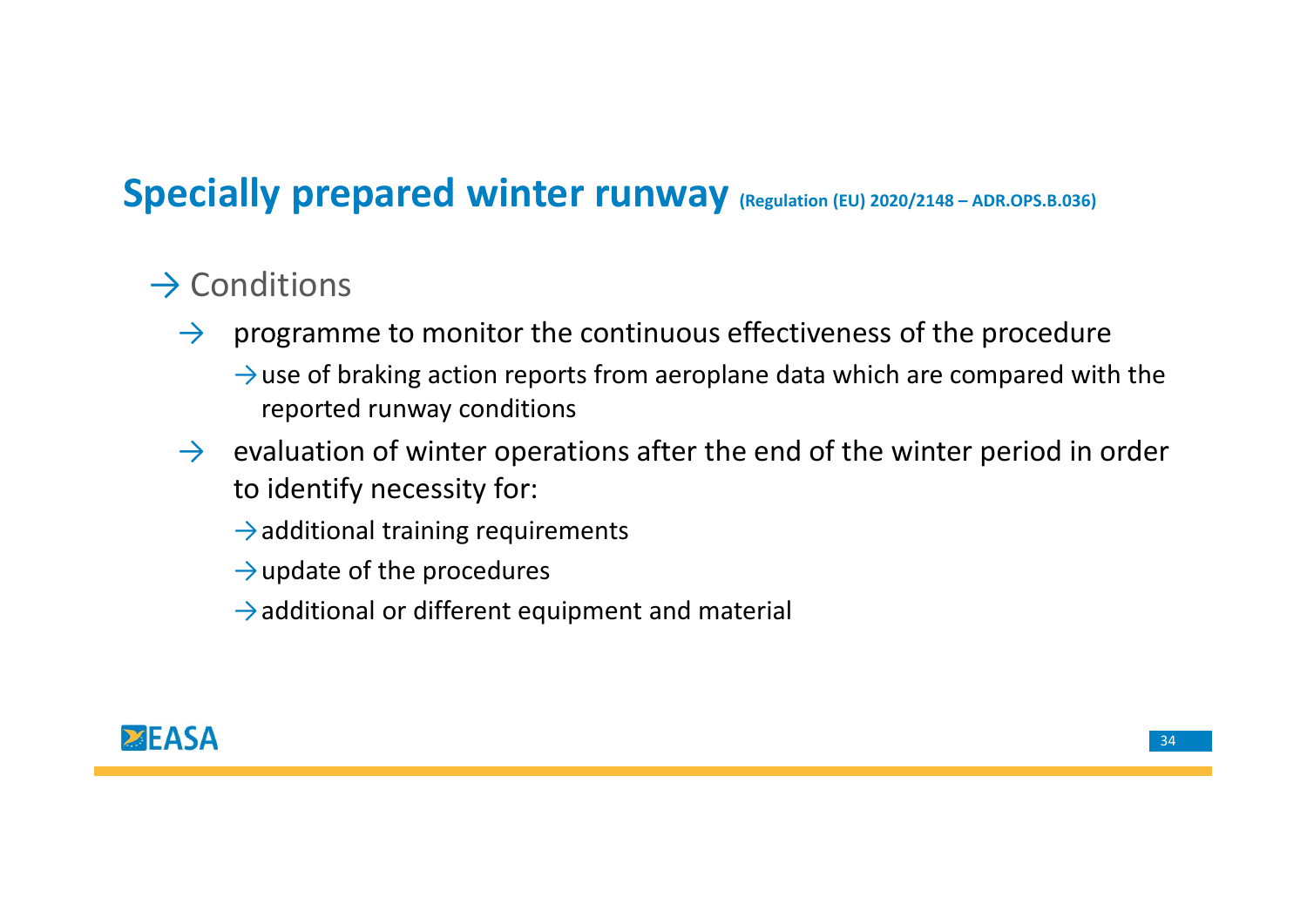# Specially prepared winter runway (Regulation (EU) 2020/2148-ADR.OPS.B.036)<br>  $\rightarrow$  Conditions

## $\rightarrow$  Conditions

- $\rightarrow$  programme to monitor the continuous effectiveness of the procedure  $\rightarrow$  use of braking action reports from aeroplane data which are compared with the reported runway conditions
- $\rightarrow$  evaluation of winter operations after the end of the winter period in order to identify necessity for:
	- $\rightarrow$  additional training requirements
	- $\rightarrow$ update of the procedures
	- $\rightarrow$ additional or different equipment and material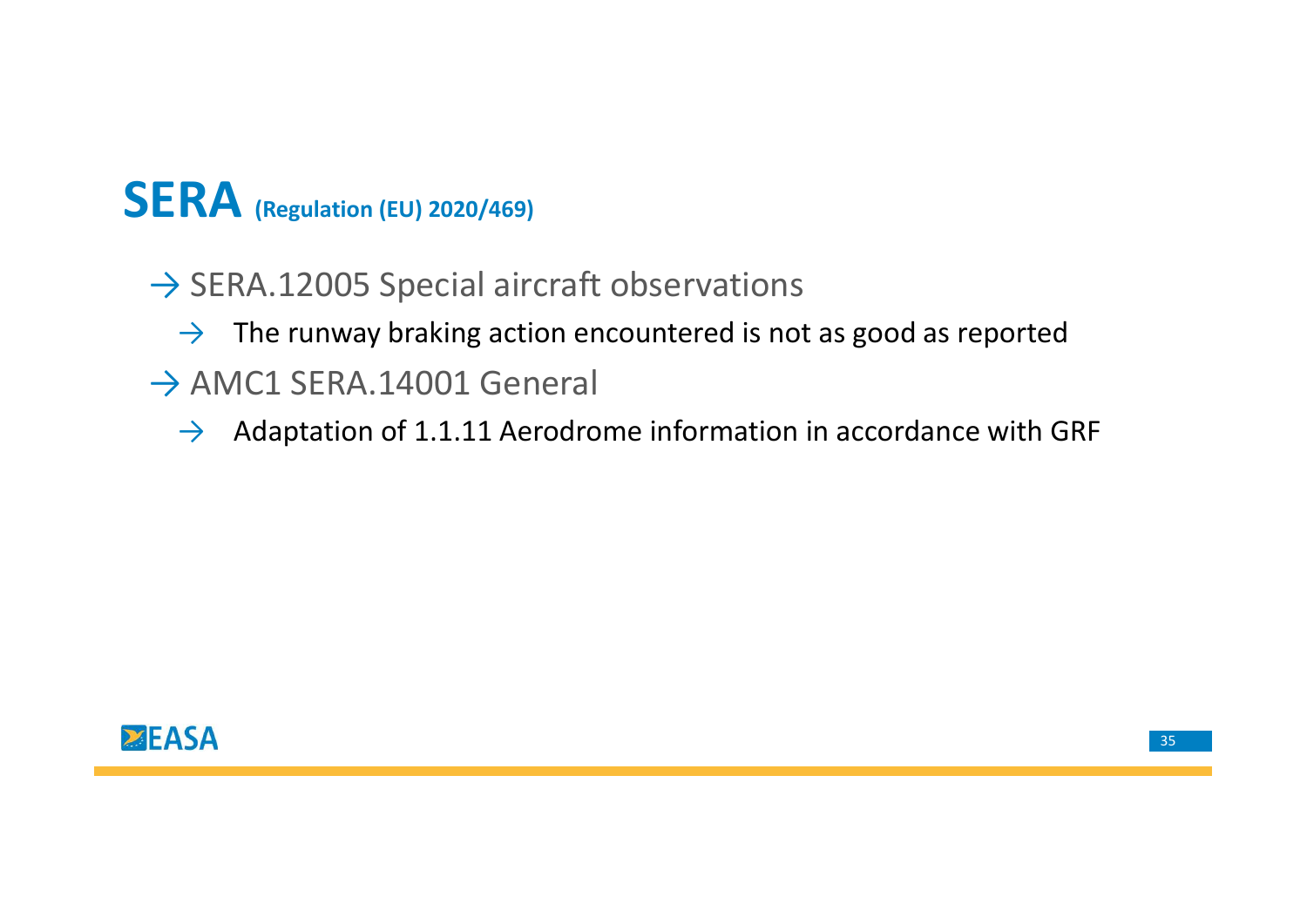## **SERA** (Regulation (EU) 2020/469)

- $\rightarrow$  SERA.12005 Special aircraft observations
	- $\rightarrow$  The runway braking action encountered is not as good as reported
- $\rightarrow$  AMC1 SERA.14001 General
	- $\rightarrow$  Adaptation of 1.1.11 Aerodrome information in accordance with GRF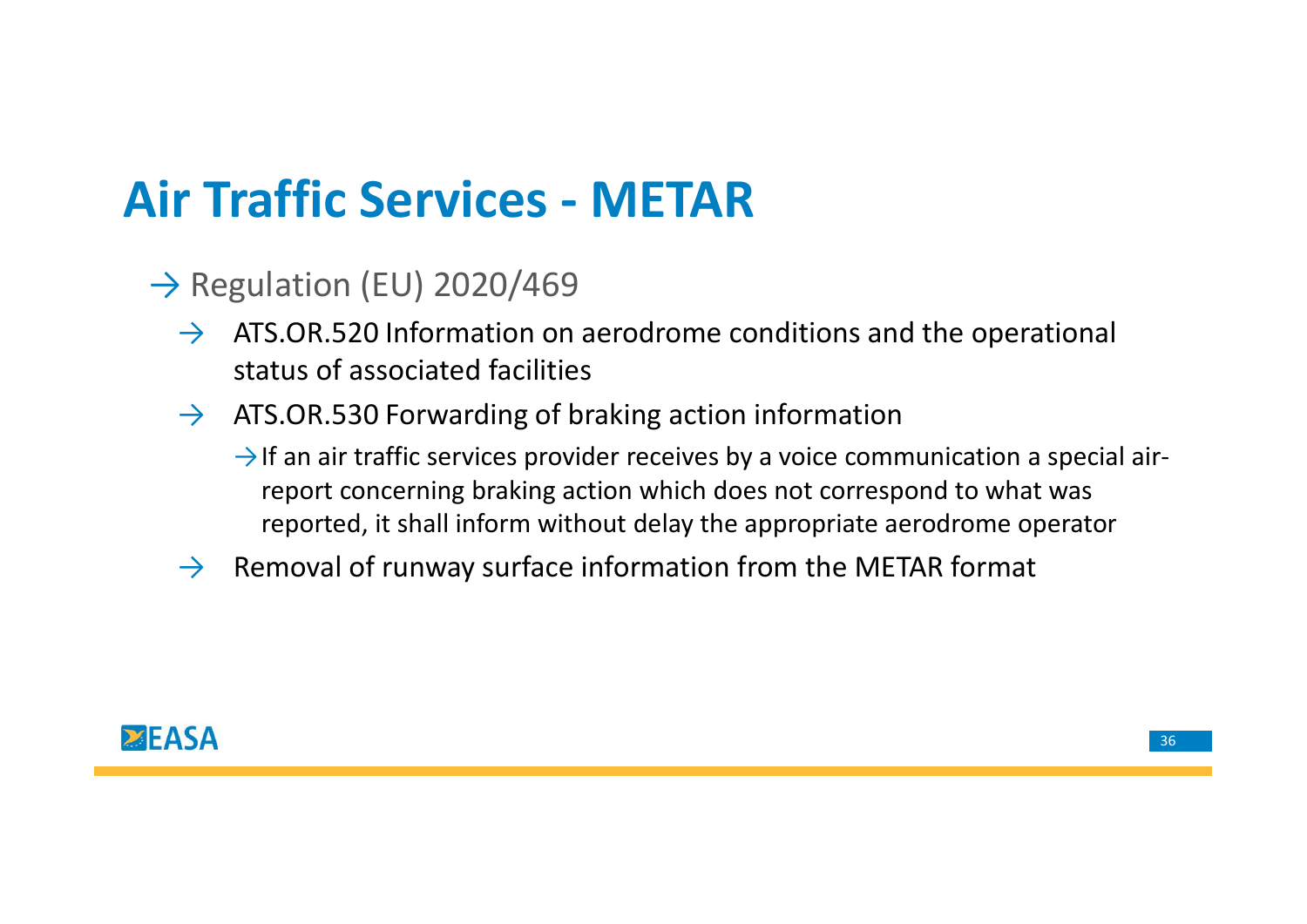# Air Traffic Services - METAR<br>  $\rightarrow$  Regulation (EU) 2020/469

- $\rightarrow$  Regulation (EU) 2020/469
	- $\rightarrow$  ATS.OR.520 Information on aerodrome conditions and the operational status of associated facilities
	- $\rightarrow$  ATS.OR.530 Forwarding of braking action information
		- $\rightarrow$  If an air traffic services provider receives by a voice communication a special airreport concerning braking action which does not correspond to what was reported, it shall inform without delay the appropriate aerodrome operator
	- $\rightarrow$  Removal of runway surface information from the METAR format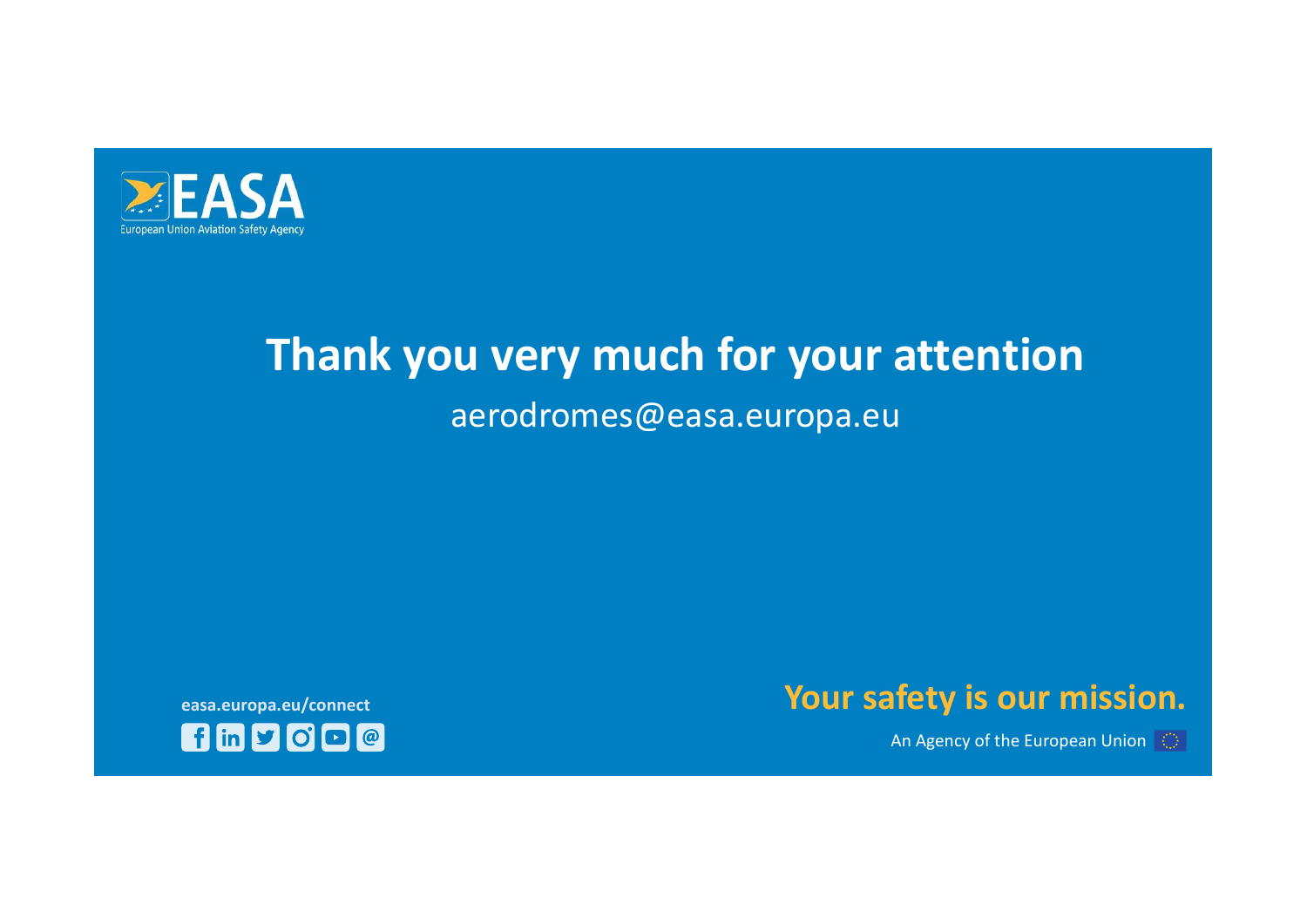

## Thank you very much for your attention aerodromes@easa.europa.eu



An Agency of the European Union